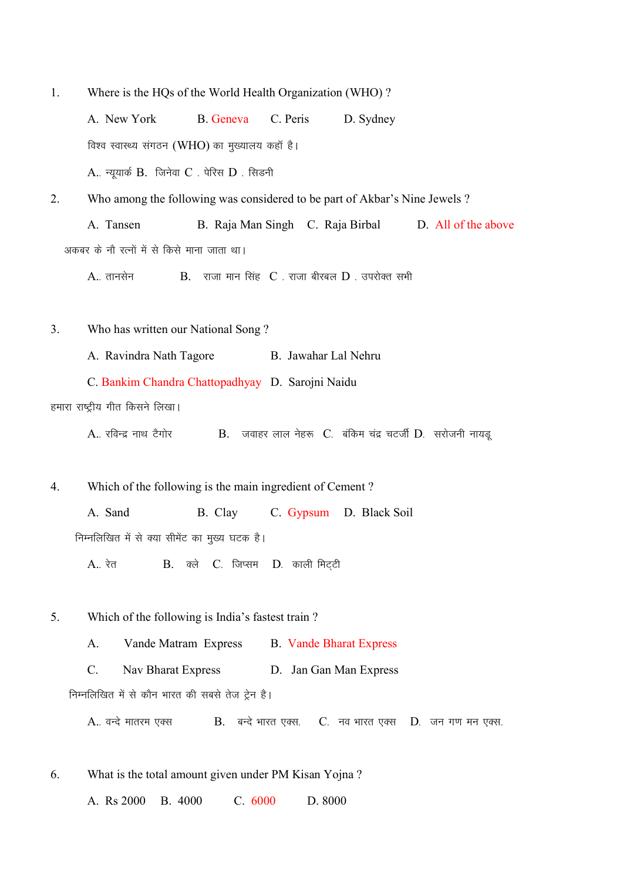1. Where is the HQs of the World Health Organization (WHO) ?

A. New York B. Geneva C. Peris D. Sydney विश्व स्वास्थ्य संगठन (WHO) का मुख्यालय कहाँ है।  $A.$  न्यूयार्क  $B.$  जिनेवा  $C.$  पेरिस  $D.$  सिडनी

2. Who among the following was considered to be part of Akbar's Nine Jewels ? A. Tansen B. Raja Man Singh C. Raja Birbal D. All of the above अकबर के नौ रत्नों में से किसे माना जाता था।

 $A_{\cdot\cdot}$  तानसेन  $B_{\cdot}$  राजा मान सिंह  $C_{\cdot}$  राजा बीरबल  $D_{\cdot}$  उपरोक्त सभी

3. Who has written our National Song ?

A. Ravindra Nath Tagore B. Jawahar Lal Nehru

C. Bankim Chandra Chattopadhyay D. Sarojni Naidu

हमारा राष्ट्रीय गीत किसने लिखा।

 $A_{\cdot}$  रविन्द्र नाथ टैगोर  $B_{\cdot}$  जवाहर लाल नेहरू  $C_{\cdot}$  बंकिम चंद्र चटर्जी  $D_{\cdot}$  सरोजनी नायड

4. Which of the following is the main ingredient of Cement ?

A. Sand B. Clay C. Gypsum D. Black Soil निम्नलिखित में से क्या सीमेंट का मुख्य घटक है।

 $A_{\cdot \cdot}$  रेत  $B_{\cdot}$  क्ले  $C_{\cdot}$  जिप्सम  $D_{\cdot}$  काली मिटटी

5. Which of the following is India's fastest train ?

A. Vande Matram Express B. Vande Bharat Express

C. Nav Bharat Express D. Jan Gan Man Express

निम्नलिखित में से कौन भारत की सबसे तेज ट्रेन है।

A. वन्दे मातरम एक्स  $B.$  बन्दे भारत एक्स.  $C.$  नव भारत एक्स  $D.$  जन गण मन एक्स.

6. What is the total amount given under PM Kisan Yojna ?

A. Rs 2000 B. 4000 C. 6000 D. 8000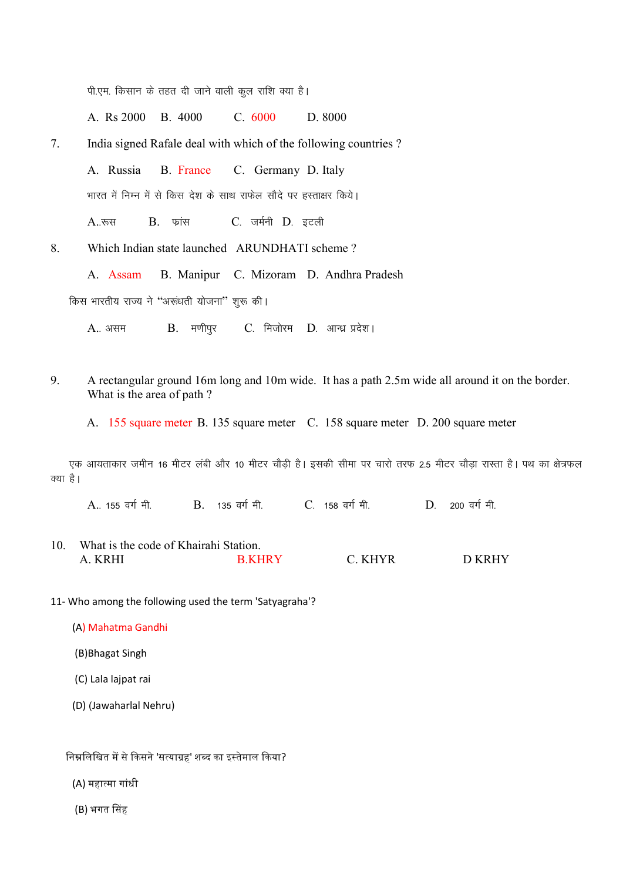पी.एम. किसान के तहत दी जाने वाली कूल राशि क्या है।

A. Rs 2000 B. 4000 C. 6000 D. 8000

7. India signed Rafale deal with which of the following countries ?

A. Russia B. France C. Germany D. Italy

भारत में निम्न में से किस देश के साथ राफेल सौदे पर हस्ताक्षर किये।

A..रूस B. फ्रांस C. जर्मनी D. इटली

8. Which Indian state launched ARUNDHATI scheme ?

A. Assam B. Manipur C. Mizoram D. Andhra Pradesh

किस भारतीय राज्य ने "अरूंधती योजना" शुरू की।

 $A_{\cdot\cdot}$  असम  $B_{\cdot}$  मणीपुर C. मिजोरम D. आन्ध्र प्रदेश।

9. A rectangular ground 16m long and 10m wide. It has a path 2.5m wide all around it on the border. What is the area of path ?

A. 155 square meter B. 135 square meter C. 158 square meter D. 200 square meter

एक आयताकार जमीन 16 मीटर लंबी और 10 मीटर चौड़ी है। इसकी सीमा पर चारो तरफ 2.5 मीटर चौड़ा रास्ता है। पथ का क्षेत्रफल क्या है।

A. 155 वर्ग मी. B. 135 वर्ग मी. C. 158 वर्ग मी. D. 200 वर्ग मी.

- 10. What is the code of Khairahi Station. A. KRHI B.KHRY C. KHYR D KRHY
- 11- Who among the following used the term 'Satyagraha'?

(A) Mahatma Gandhi

(B)Bhagat Singh

(C) Lala lajpat rai

(D) (Jawaharlal Nehru)

निम्नलिखित में से किसने 'सत्याग्रह' शब्द का इस्तेमाल किया?

(A) महा᭜मा गांधी

(B) भगत सिंह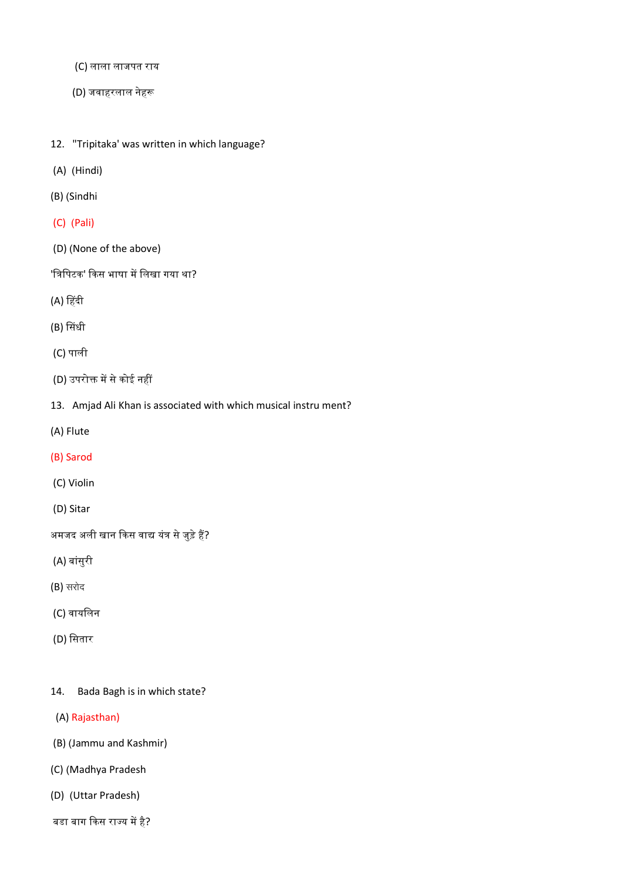- (C) लाला लाजपत राय
- (D) जवाहरलाल नेहᱨ
- 12. "Tripitaka' was written in which language?
- (A) (Hindi)
- (B) (Sindhi
- (C) (Pali)
- (D) (None of the above)

'त्रिपिटक' किस भाषा में लिखा गया था?

- (A) हिंदी
- (B) सिंधी
- (C) पाली
- (D) उपरोक्त में से कोई नहीं
- 13. Amjad Ali Khan is associated with which musical instru ment?
- (A) Flute
- (B) Sarod
- (C) Violin
- (D) Sitar

अमजद अली खान किस वाद्य यंत्र से जुड़े हैं?

- (A) बांसुरी
- $(B)$  सरोद
- (C) वायिलन
- (D) सितार

#### 14. Bada Bagh is in which state?

- (A) Rajasthan)
- (B) (Jammu and Kashmir)
- (C) (Madhya Pradesh
- (D) (Uttar Pradesh)
- बडा बाग किस राज्य में है?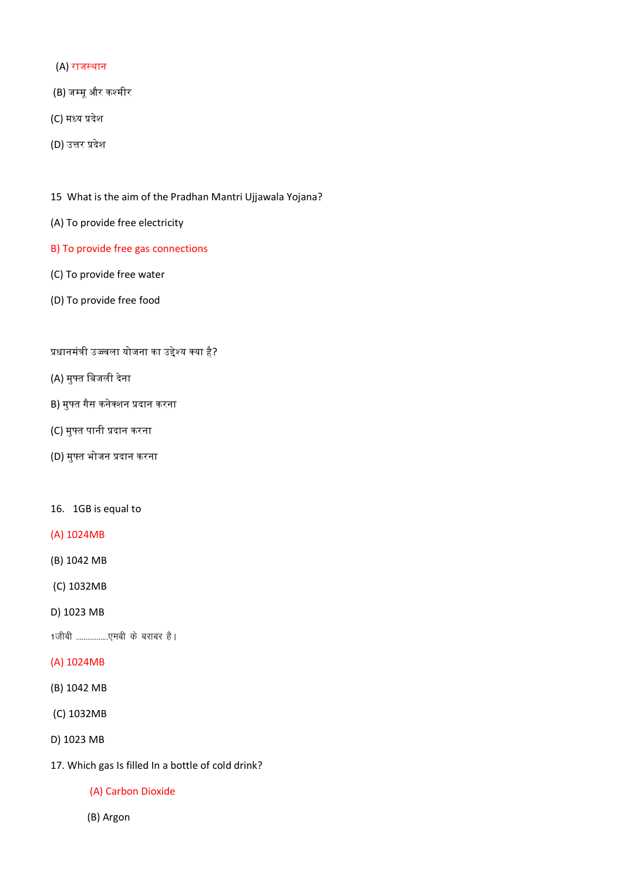- (A) राज᭭थान
- (B) जम्मू और कश्मीर
- (C) मध्य प्रदेश
- (D) उत्तर प्रदेश
- 15 What is the aim of the Pradhan Mantri Ujjawala Yojana?
- (A) To provide free electricity
- B) To provide free gas connections
- (C) To provide free water
- (D) To provide free food

# प्रधानमंत्री उज्ज्वला योजना का उद्देश्य क्या है?

- (A) मु᭢त िबजली दनेा
- B) मुफ्त गैस कनेक्शन प्रदान करना
- (C) मु᭢त पानी ᮧदान करना
- (D) मु᭢त भोजन ᮧदान करना

#### 16. 1GB is equal to

- (A) 1024MB
- (B) 1042 MB
- (C) 1032MB
- D) 1023 MB

1जीबी ......................एमबी के बराबर है।

## (A) 1024MB

- (B) 1042 MB
- (C) 1032MB
- D) 1023 MB
- 17. Which gas Is filled In a bottle of cold drink?

#### (A) Carbon Dioxide

(B) Argon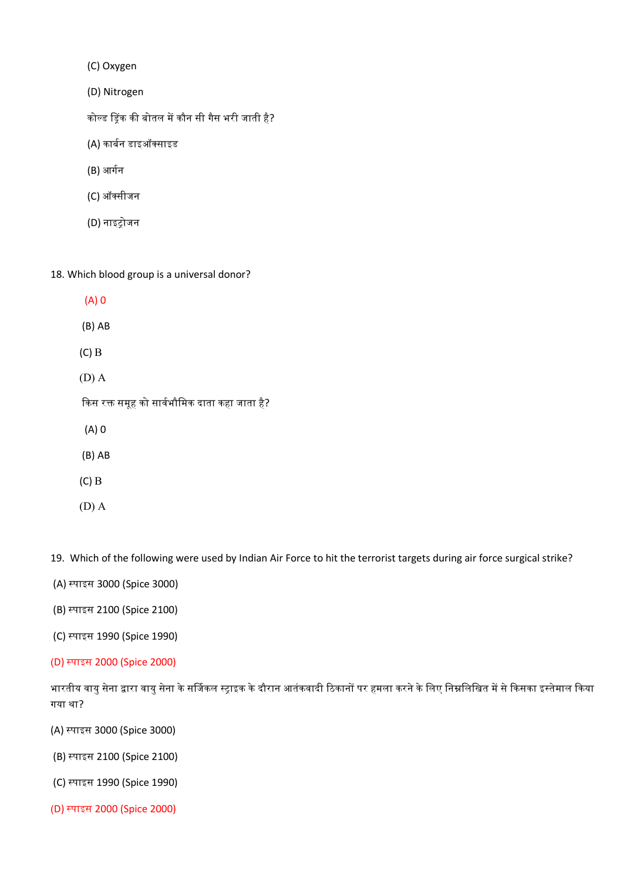(C) Oxygen

(D) Nitrogen

कोल्ड ड्रिंक की बोतल में कौन सी गैस भरी जाती है?

(A) कार्बन डाइऑक्साइड

- (B) आर्गन
- (C) ऑसीजन
- (D) नाइᮝोजन
- 18. Which blood group is a universal donor?
	- (A) 0 (B) AB (C) B (D) A किस रक्त समूह को सार्वभौमिक दाता कहा जाता है? (A) 0 (B) AB (C) B (D) A

19. Which of the following were used by Indian Air Force to hit the terrorist targets during air force surgical strike?

- (A) ᭭पाइस 3000 (Spice 3000)
- (B) ᭭पाइस 2100 (Spice 2100)
- (C) ᭭पाइस 1990 (Spice 1990)
- (D) ᭭पाइस 2000 (Spice 2000)

भारतीय वायु सेना द्वारा वायु सेना के सर्जिकल स्ट्राइक के दौरान आतंकवादी ठिकानों पर हमला करने के लिए निम्नलिखित में से किसका इस्तेमाल किया गया था?

- (A) ᭭पाइस 3000 (Spice 3000)
- (B) ᭭पाइस 2100 (Spice 2100)
- (C) ᭭पाइस 1990 (Spice 1990)
- (D) ᭭पाइस 2000 (Spice 2000)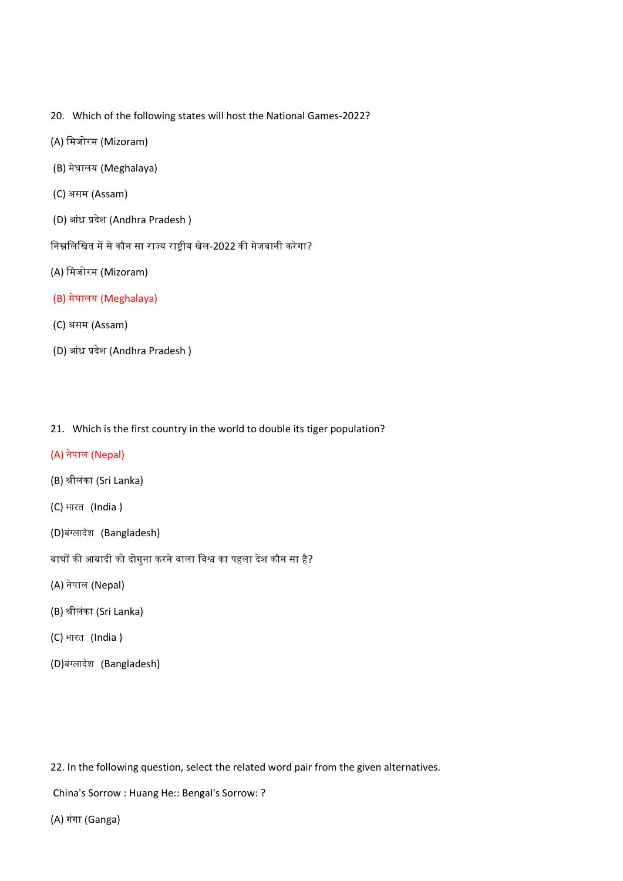- 20. Which of the following states will host the National Games-2022?
- (A) मिजोरम (Mizoram)
- (B) मेघालय (Meghalaya)
- (C) असम (Assam)
- (D) आंध्र प्रदेश (Andhra Pradesh)
- निम्नलिखित में से कौन सा राज्य राष्ट्रीय खेल-2022 की मेजबानी करेगा?
- (A) मिजोरम (Mizoram)
- (B) मेघालय (Meghalaya)
- (C) असम (Assam)
- (D) आंध्र प्रदेश (Andhra Pradesh)
- 21. Which is the first country in the world to double its tiger population?

# (A) नेपाल (Nepal)

- (B) ᮰ीलंका (Sri Lanka)
- (C) भारत (India)
- (D)बंग्लादेश (Bangladesh)
- बाघों की आबादी को दोगुना करने वाला विश्व का पहला देश कौन सा है?
- (A) नेपाल (Nepal)
- (B) ᮰ीलंका (Sri Lanka)
- (C) भारत (India)
- (D)बंग्लादेश (Bangladesh)

22. In the following question, select the related word pair from the given alternatives.

China's Sorrow : Huang He:: Bengal's Sorrow: ?

(A) गंगा (Ganga)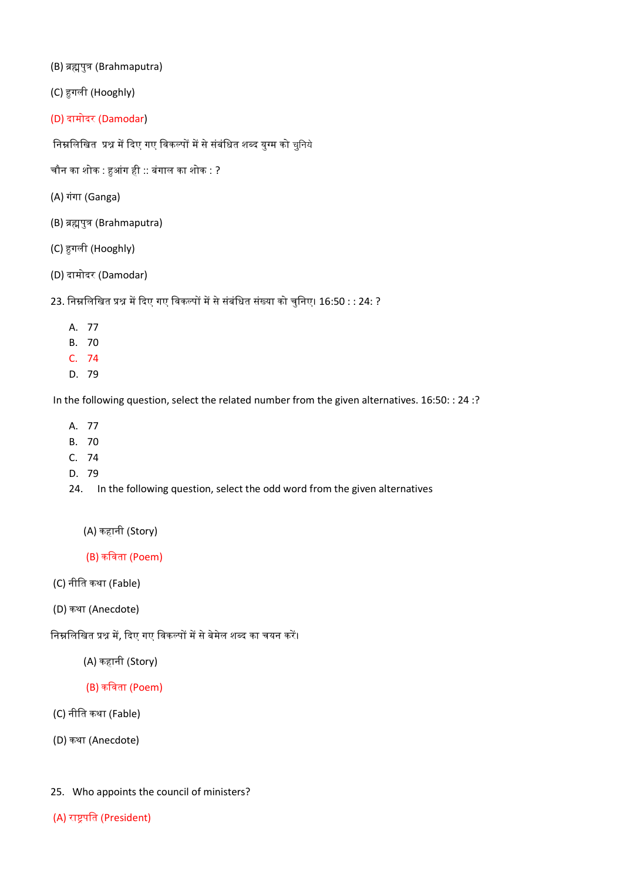(B) ब्रह्मपुत्र (Brahmaputra)

(C) ᱟगली (Hooghly)

(D) दामोदर (Damodar)

निम्नलिखित प्रश्न में दिए गए विकल्पों में से संबंधित शब्द युग्म को चुनिये

चौन का शोक : हुआंग ही :: बंगाल का शोक : ?

- (A) गंगा (Ganga)
- (B) ब्रह्मपुत्र (Brahmaputra)
- (C) ᱟगली (Hooghly)
- (D) दामोदर (Damodar)

23. निम्नलिखित प्रश्न में दिए गए विकल्पों में से संबंधित संख्या को चुनिए। 16:50 : : 24: ?

- A. 77
- B. 70
- C. 74
- D. 79

In the following question, select the related number from the given alternatives. 16:50: : 24 :?

- A. 77
- B. 70
- C. 74
- D. 79
- 24. In the following question, select the odd word from the given alternatives
	- (A) कहानी (Story)

(B) किवता (Poem)

- (C) नीित कथा (Fable)
- (D) कथा (Anecdote)

निम्नलिखित प्रश्न में, दिए गए विकल्पों में से बेमेल शब्द का चयन करें।

(A) कहानी (Story)

# (B) किवता (Poem)

- (C) नीित कथा (Fable)
- (D) कथा (Anecdote)
- 25. Who appoints the council of ministers?
- (A) राष्ट्रपति (President)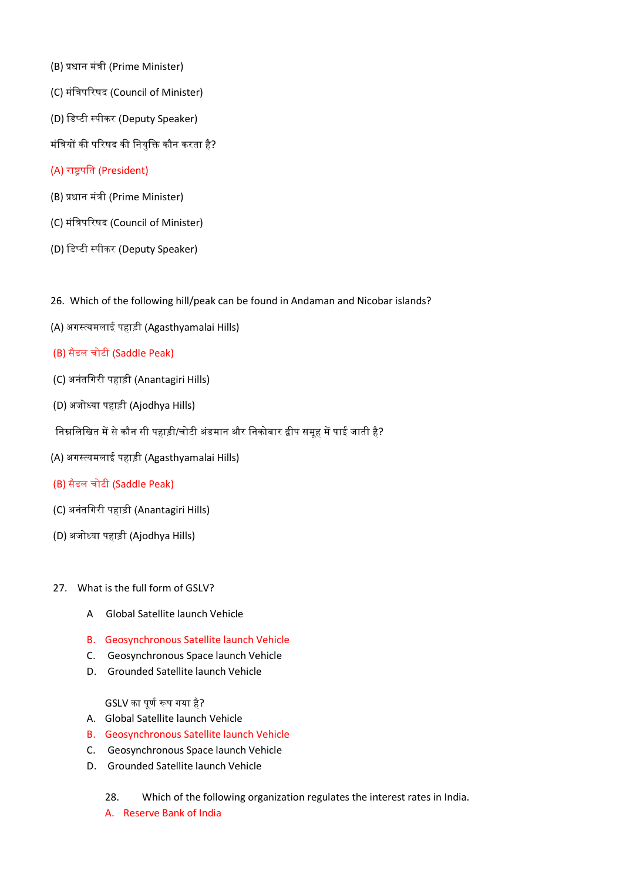- (B) ᮧधान मंᮢी (Prime Minister)
- (C) मंत्रिपरिषद (Council of Minister)
- (D) डिप्टी स्पीकर (Deputy Speaker)
- मंत्रियों की परिषद की नियुक्ति कौन करता है?

#### (A) राष्ट्रपति (President)

- (B) ᮧधान मंᮢी (Prime Minister)
- (C) मंत्रिपरिषद (Council of Minister)
- (D) डिप्टी स्पीकर (Deputy Speaker)
- 26. Which of the following hill/peak can be found in Andaman and Nicobar islands?
- (A) अगस्त्यमलाई पहाड़ी (Agasthyamalai Hills)
- (B) सैडल चोटी (Saddle Peak)
- (C) अनंतिगरी पहाड़ी (Anantagiri Hills)
- (D) अजो᭟या पहाड़ी (Ajodhya Hills)
- निम्नलिखित में से कौन सी पहाड़ी/चोटी अंडमान और निकोबार द्वीप समूह में पाई जाती है?
- (A) अगस्त्यमलाई पहाड़ी (Agasthyamalai Hills)
- (B) सैडल चोटी (Saddle Peak)
- (C) अनंतिगरी पहाड़ी (Anantagiri Hills)
- (D) अजो᭟या पहाड़ी (Ajodhya Hills)
- 27. What is the full form of GSLV?
	- A Global Satellite launch Vehicle
	- B. Geosynchronous Satellite launch Vehicle
	- C. Geosynchronous Space launch Vehicle
	- D. Grounded Satellite launch Vehicle

GSLV का पूर्ण रूप गया है?

- A. Global Satellite launch Vehicle
- B. Geosynchronous Satellite launch Vehicle
- C. Geosynchronous Space launch Vehicle
- D. Grounded Satellite launch Vehicle
	- 28. Which of the following organization regulates the interest rates in India.
	- A. Reserve Bank of India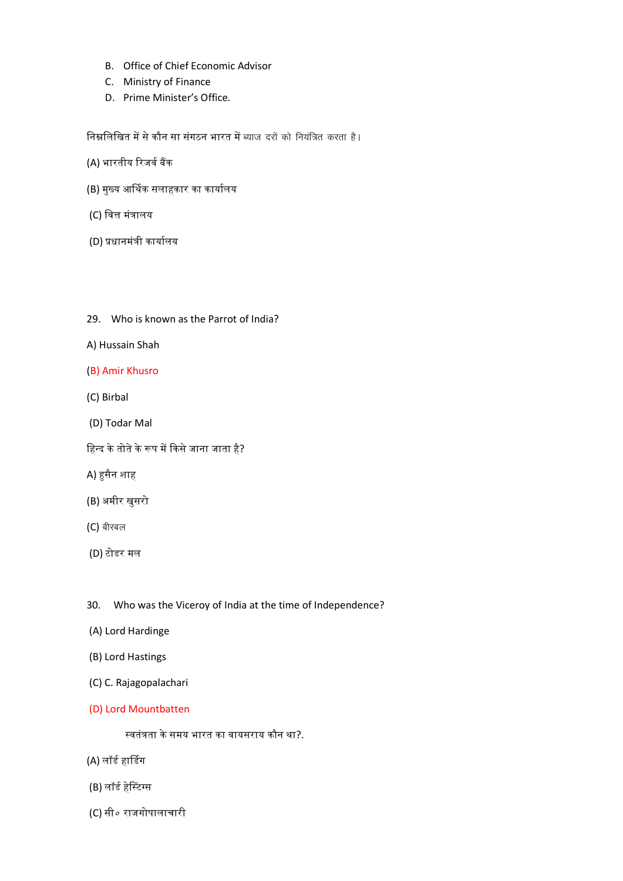- B. Office of Chief Economic Advisor
- C. Ministry of Finance
- D. Prime Minister's Office.

<u>निम्नलिखित में से कौन सा संगठन भारत में ब्याज दरों को नियंत्रित करता है।</u>

- (A) भारतीय रिजर्व बैंक
- (B) मुख्य आर्थिक सलाहकार का कार्यालय
- (C) वित्त मंत्रालय
- (D) प्रधानमंत्री कार्यालय
- 29. Who is known as the Parrot of India?
- A) Hussain Shah
- (B) Amir Khusro
- (C) Birbal
- (D) Todar Mal
- हिन्द के तोते के रूप में किसे जाना जाता है?
- A) हुसैन शाह
- (B) अमीर खुसरो
- $(C)$  बीरबल
- (D) टोडर मल
- 30. Who was the Viceroy of India at the time of Independence?
- (A) Lord Hardinge
- (B) Lord Hastings
- (C) C. Rajagopalachari
- (D) Lord Mountbatten

स्वतंत्रता के समय भारत का वायसराय कौन था?.

- (A) लॉर्ड हार्डिग
- (B) लॉर्ड हेस्टिंग्स
- (C) सी० राजगोपालाचारी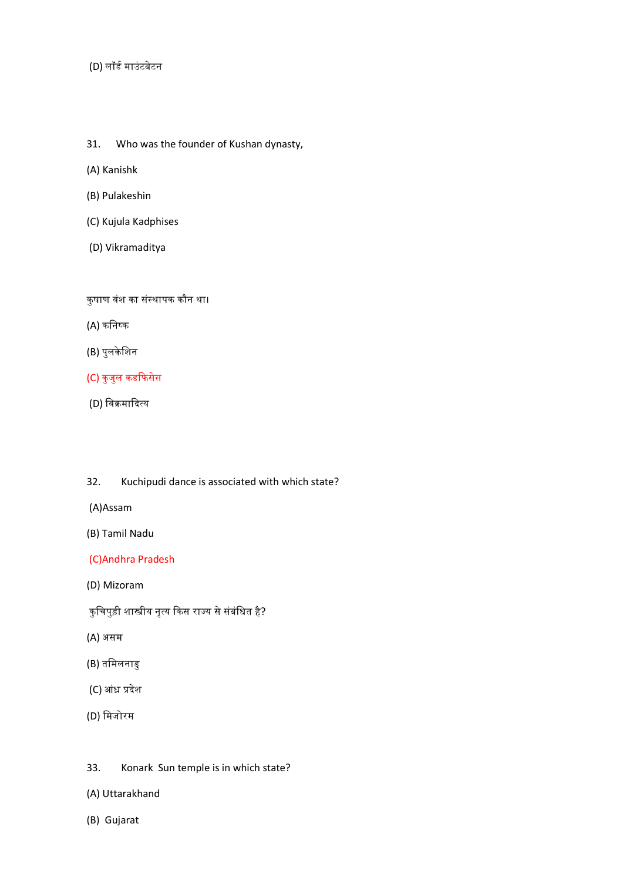(D) लॉर्ड माउंटबेटन

- 31. Who was the founder of Kushan dynasty,
- (A) Kanishk
- (B) Pulakeshin
- (C) Kujula Kadphises
- (D) Vikramaditya

कुषाण वंश का संस्थापक कौन था।

- (A) कनिष्क
- (B) पुलके िशन
- (C) कुजुल कडफिसेस
- (D) विक्रमादित्य

32. Kuchipudi dance is associated with which state?

(A)Assam

(B) Tamil Nadu

(C)Andhra Pradesh

(D) Mizoram

कुचिपुड़ी शास्त्रीय नृत्य किस राज्य से संबंधित है<mark>?</mark>

- (A) असम
- (B) तिमलनाडु
- (C) आंध्र प्रदेश
- (D) िमजोरम

#### 33. Konark Sun temple is in which state?

- (A) Uttarakhand
- (B) Gujarat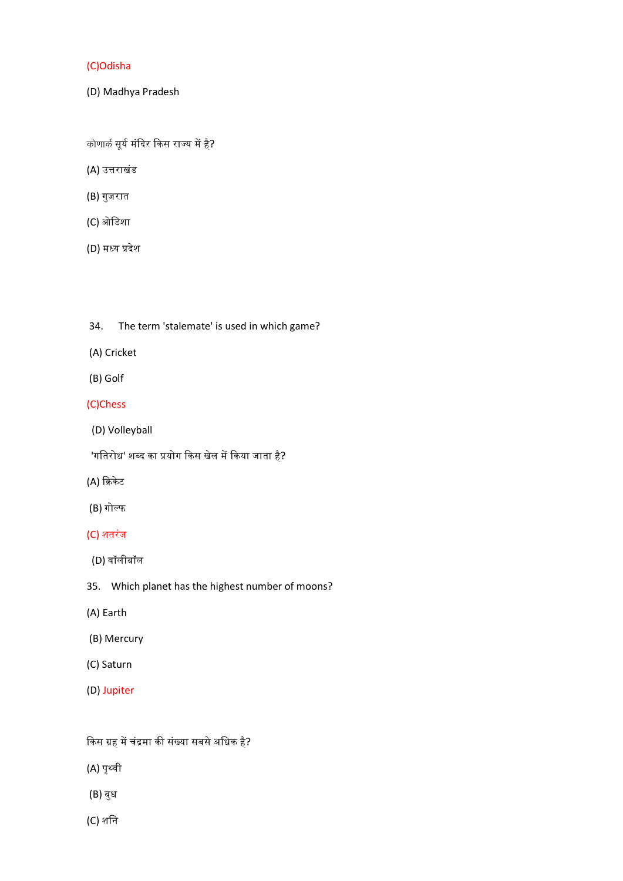# (C)Odisha

(D) Madhya Pradesh

कोणार्क सूर्य मंदिर किस राज्य में है?

- (A) उᱫराखंड
- (B) गुजरात
- (C) ओिडशा
- (D) मध्य प्रदेश

# 34. The term 'stalemate' is used in which game?

- (A) Cricket
- (B) Golf

# (C)Chess

- (D) Volleyball
- 'गतिरोध' शब्द का प्रयोग किस खेल में किया जाता है?
- (A) क्रिकेट
- (B) गोल्फ

## (C) शतरंज

- (D) वॉलीबॉल
- 35. Which planet has the highest number of moons?
- (A) Earth
- (B) Mercury
- (C) Saturn
- (D) Jupiter

# किस ग्रह में चंद्रमा की संख्या सबसे अधिक है?

- (A) पृथ्वी
- (B) बुध
- (C) शिन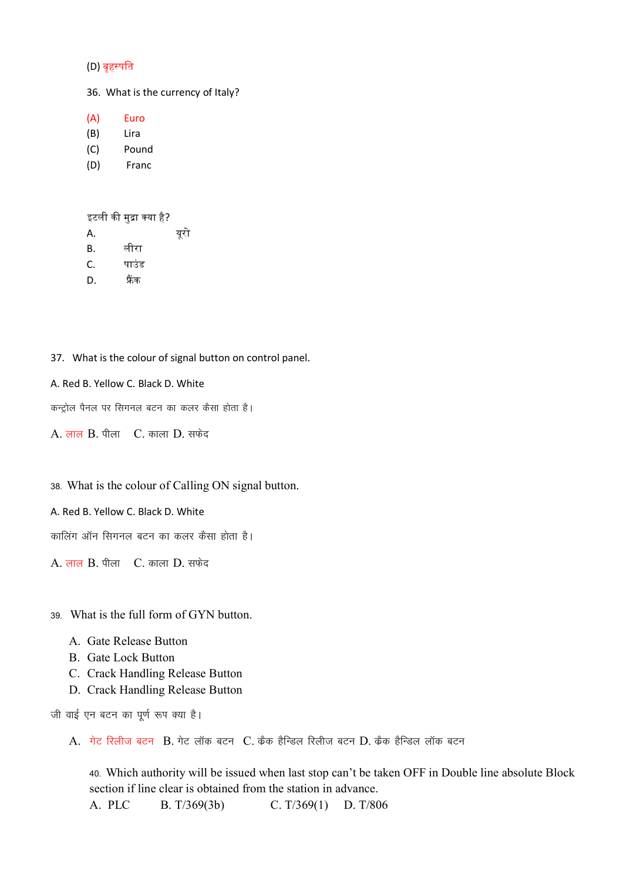#### (D) बृहस्पति

36. What is the currency of Italy?

(A) Euro

- (B) Lira
- (C) Pound
- (D) Franc

इटली की मुद्रा क्या है?

- A. यूरो
- B. लीरा
- C. पाउंड
- D. फ्रैंक

37. What is the colour of signal button on control panel.

#### A. Red B. Yellow C. Black D. White

कन्ट्रोल पैनल पर सिगनल बटन का कलर कैसा होता है।

 $A.$  लाल  $B.$  पीला  $C.$  काला  $D.$  सफेद

38- What is the colour of Calling ON signal button.

A. Red B. Yellow C. Black D. White

कालिंग ऑन सिगनल बटन का कलर कैसा होता है।

A. लाल B. पीला C. काला D. सफेद

39- What is the full form of GYN button.

- A. Gate Release Button
- B. Gate Lock Button
- C. Crack Handling Release Button
- D. Crack Handling Release Button

जी वाई एन बटन का पूर्ण रूप क्या है।

 $A.$  गेट रिलीज बटन  $B.$  गेट लॉक बटन  $C.$  कैक हैन्डिल रिलीज बटन  $D.$  कैक हैन्डिल लॉक बटन

40- Which authority will be issued when last stop can't be taken OFF in Double line absolute Block section if line clear is obtained from the station in advance. A. PLC B. T/369(3b) C. T/369(1) D. T/806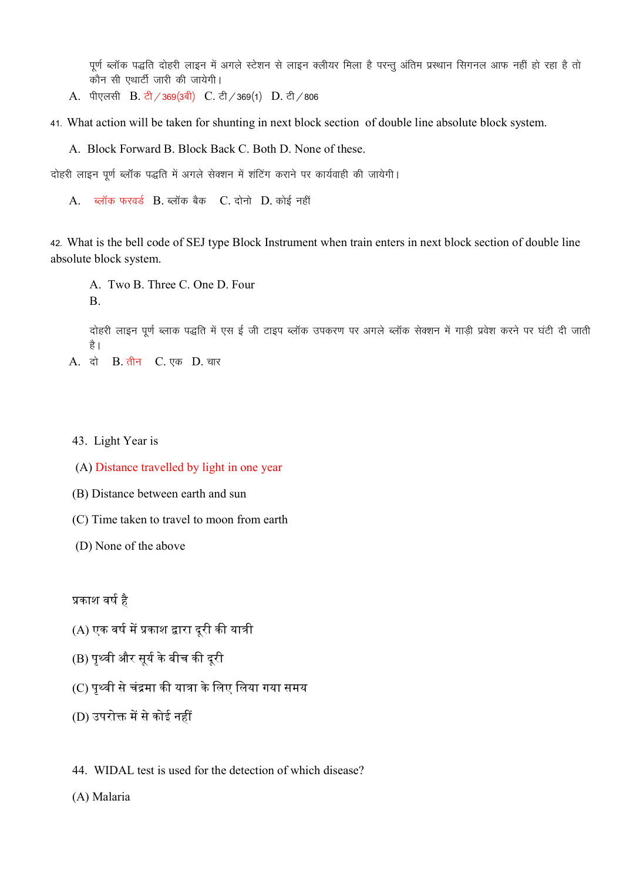पूर्ण ब्लॉक पद्धति दोहरी लाइन में अगले स्टेशन से लाइन क्लीयर मिला है परन्तु अंतिम प्रस्थान सिगनल आफ नहीं हो रहा है तो कौन सी एथार्टी जारी की जायेगी।

- A. पीएलसी B. टी / 369(3बी) C. टी / 369(1) D. टी / 806
- 41- What action will be taken for shunting in next block section of double line absolute block system.
	- A. Block Forward B. Block Back C. Both D. None of these.

दोहरी लाइन पूर्ण ब्लॉक पद्धति में अगले सेक्शन में शंटिंग कराने पर कार्यवाही की जायेगी।

A. ब्लॉक फरवर्ड B. ब्लॉक बैक C. दोनो D. कोई नहीं

42- What is the bell code of SEJ type Block Instrument when train enters in next block section of double line absolute block system.

A. Two B. Three C. One D. Four B.

दोहरी लाइन पूर्ण ब्लाक पद्धति में एस ई जी टाइप ब्लॉक उपकरण पर अगले ब्लॉक सेक्शन में गाड़ी प्रवेश करने पर घंटी दी जाती है।

A. दो B. तीन C. एक D. चार

#### 43. Light Year is

- (A) Distance travelled by light in one year
- (B) Distance between earth and sun
- (C) Time taken to travel to moon from earth
- (D) None of the above

प्रकाश वर्ष है

- (A) एक वर्ष में प्रकाश द्वारा दूरी की यात्री
- (B) पृथ्वी और सूर्य के बीच की दूरी
- (C) पृथ्वी से चंद्रमा की यात्रा के लिए लिया गया समय
- (D) उपरोक्त में से कोई नहीं
- 44. WIDAL test is used for the detection of which disease?

(A) Malaria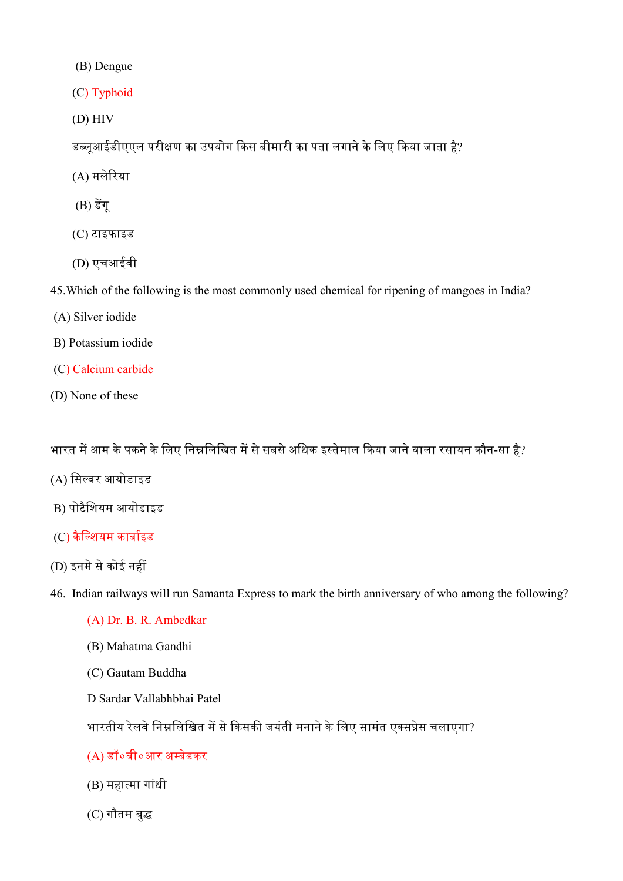(B) Dengue

(C) Typhoid

(D) HIV

डब्लूआईडीएएल परीक्षण का उपयोग किस बीमारी का पता लगाने के लिए किया जाता है?

(A) मलेᳯरया

- $(B)$  डेंग्
- (C) टाइफाइड
- (D) एचआईवी

45.Which of the following is the most commonly used chemical for ripening of mangoes in India?

- (A) Silver iodide
- B) Potassium iodide
- (C) Calcium carbide
- (D) None of these

भारत में आम के पकने के लिए निम्नलिखित में से सबसे अधिक इस्तेमाल किया जाने वाला रसायन कौन-सा है?

- (A) सिल्वर आयोडाइड
- B) पोटैिशयम आयोडाइड
- $(C)$  कैल्शियम कार्बाइड
- (D) इनमे से कोई नहीं

46. Indian railways will run Samanta Express to mark the birth anniversary of who among the following?

- (A) Dr. B. R. Ambedkar
- (B) Mahatma Gandhi
- (C) Gautam Buddha
- D Sardar Vallabhbhai Patel

भारतीय रेलवे निम्नलिखित में से किसकी जयंती मनाने के लिए सामंत एक्सप्रेस चलाएगा?

(A) डॉ०बी०आर अ᭥बेडकर

- (B) महा᭜मा गांधी
- (C) गौतम बु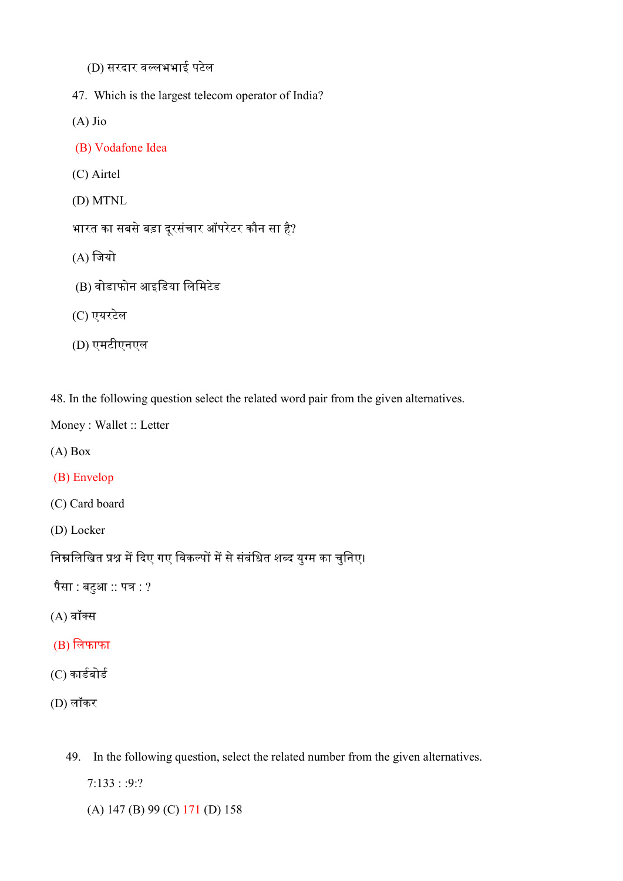- (D) सरदार व᭨लभभाई पटेल
- 47. Which is the largest telecom operator of India?
- (A) Jio
- (B) Vodafone Idea
- (C) Airtel
- (D) MTNL

भारत का सबसे बड़ा दूरसंचार ऑपरेटर कौन सा है?

- $(A)$  जियो
- (B) वोडाफोन आइिडया िलिमटेड
- (C) एयरटेल
- (D) एमटीएनएल

48. In the following question select the related word pair from the given alternatives.

Money : Wallet :: Letter

- (A) Box
- (B) Envelop

(C) Card board

(D) Locker

निम्नलिखित प्रश्न में दिए गए विकल्पों में से संबंधित शब्द युग्म का चुनिए।

पैसा : बटुआ $\cdots$  पत्र : ?

- $(A)$  बॉक्स
- (B) िलफाफा
- (C) कार्डबोर्ड
- (D) लॉकर
	- 49. In the following question, select the related number from the given alternatives.

7:133 : :9:?

(A) 147 (B) 99 (C) 171 (D) 158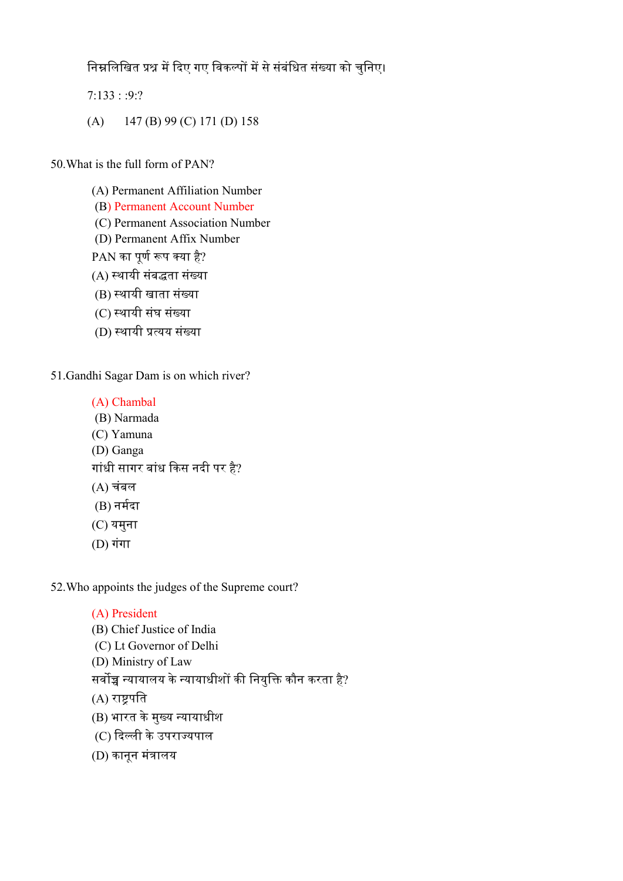<u>निम्नलिखित प्रश्न में दिए गए विकल्पों में से संबंधित संख्या को चुनिए।</u>

7:133 : :9:?

(A) 147 (B) 99 (C) 171 (D) 158

50.What is the full form of PAN?

(A) Permanent Affiliation Number (B) Permanent Account Number (C) Permanent Association Number (D) Permanent Affix Number PAN का पूर्ण रूप क्या है? (A) स्थायी संबद्धता संख्या (B) स्थायी खाता संख्या (C) ᭭थायी संघ संया

(D) स्थायी प्रत्यय संख्या

51.Gandhi Sagar Dam is on which river?

- (A) Chambal
- (B) Narmada
- (C) Yamuna
- (D) Ganga

गांधी सागर बांध किस नदी पर है?

- (A) चंबल
- $(B)$  नर्मदा
- (C) यमुना
- $(D)$  गंगा

52.Who appoints the judges of the Supreme court?

# (A) President

(B) Chief Justice of India (C) Lt Governor of Delhi (D) Ministry of Law सर्वोच्च न्यायालय के न्यायाधीशों की नियुक्ति कौन करता है? (A) राष्ट्रपति (B) भारत के मुख्य न्यायाधीश

```
(C) दिल्ली के उपराज्यपाल
```

```
(D) कानून मंᮢालय
```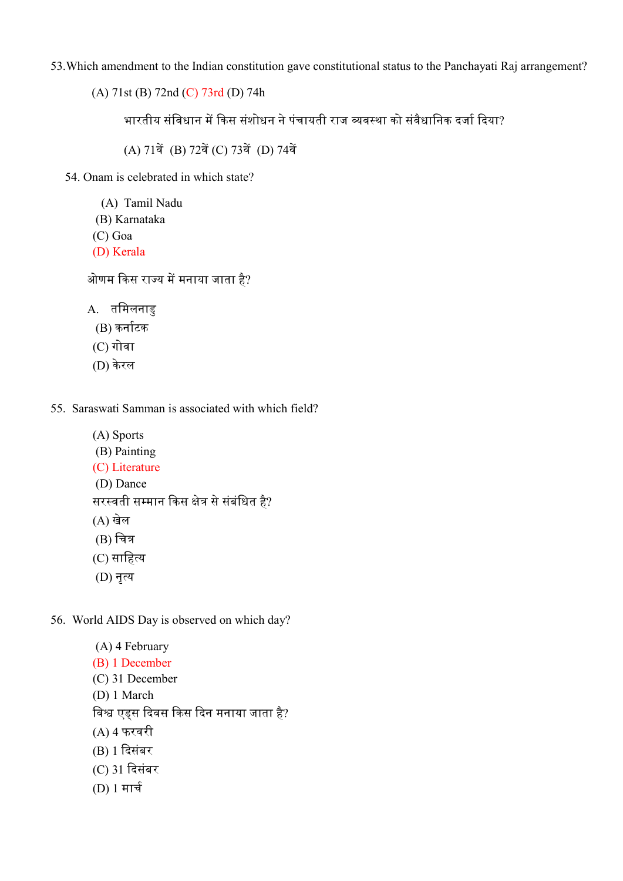53.Which amendment to the Indian constitution gave constitutional status to the Panchayati Raj arrangement?

(A) 71st (B) 72nd (C) 73rd (D) 74h

भारतीय संविधान में किस संशोधन ने पंचायती राज व्यवस्था को संवैधानिक दर्जा दिया?

(A) 71वें (B) 72वें (C) 73वें (D) 74वें

54. Onam is celebrated in which state?

(A) Tamil Nadu

- (B) Karnataka
- (C) Goa
- (D) Kerala

ओणम किस राज्य में मनाया जाता है?

A. तिमलनाडु

- (B) कर्नाटक
- (C) गोवा
- (D) के रल

55. Saraswati Samman is associated with which field?

(A) Sports (B) Painting (C) Literature (D) Dance सरस्वती सम्मान किस क्षेत्र से संबंधित है? (A) खेल  $(B)$  चित्र (C) साहित्य (D) नृ᭜य

56. World AIDS Day is observed on which day?

- (A) 4 February (B) 1 December (C) 31 December (D) 1 March विश्व एड्स दिवस किस दिन मनाया जाता है? (A) 4 फरवरी (B) 1 ᳰदसंबर (C) 31 ᳰदसंबर
- $(D) 1 \pi \mathbf{r}$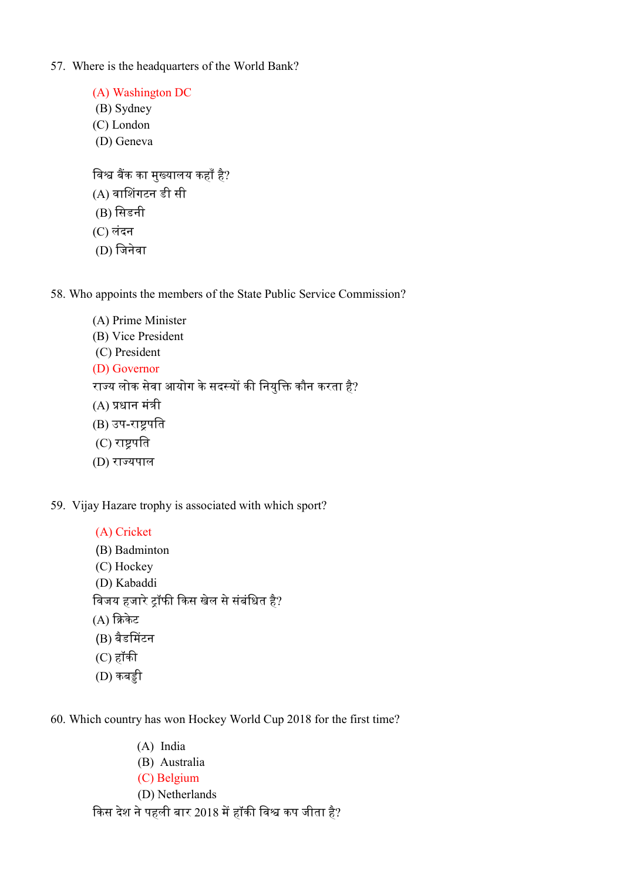57. Where is the headquarters of the World Bank?

(A) Washington DC (B) Sydney (C) London (D) Geneva विश्व बैंक का मुख्यालय कहाँ है? (A) वाᳲशगटन डी सी  $(B)$  सिडनी (C) लंदन (D) िजनवेा

58. Who appoints the members of the State Public Service Commission?

- (A) Prime Minister (B) Vice President (C) President (D) Governor राज्य लोक सेवा आयोग के सदस्यों की नियुक्ति कौन करता है?  $(A)$  प्रधान मंत्री (B) उप-राष्ट्रपति (C) राष्टपति
- (D) रा᭔यपाल
- 59. Vijay Hazare trophy is associated with which sport?
	- (A) Cricket (B) Badminton (C) Hockey (D) Kabaddi विजय हजारे ट्रॉफी किस खेल से संबंधित है?  $(A)$  क्रिकेट (B) बैडᳲमटन  $(C)$  हॉकी  $(D)$  कबड़ी
- 60. Which country has won Hockey World Cup 2018 for the first time?
	- (A) India
	- (B) Australia
	- (C) Belgium
	- (D) Netherlands

किस देश ने पहली बार 2018 में हॉकी विश्व कप जीता है?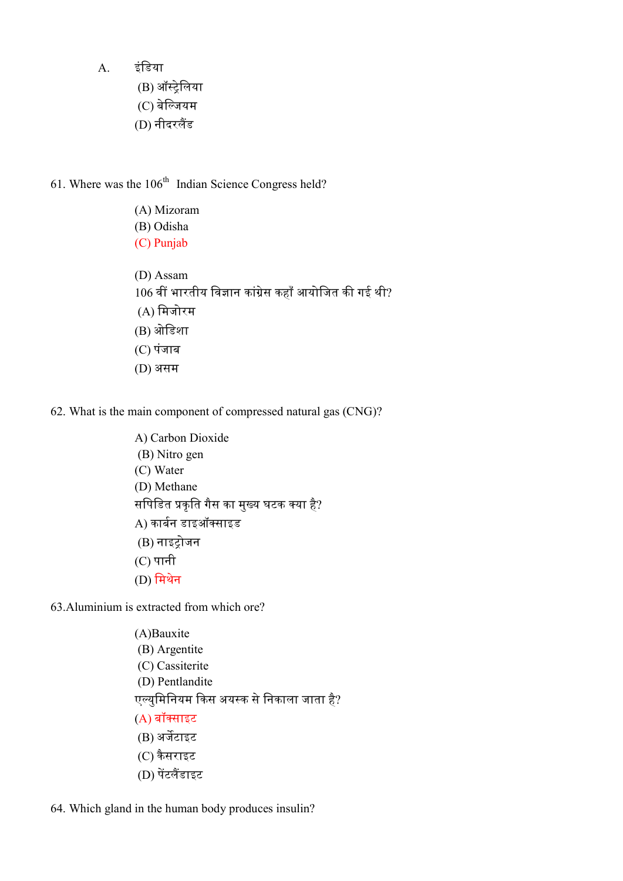A. इंिडया

- (B) ऑ᭭ᮝेिलया
- (C) बेल्जियम
- (D) नीदरलैंड

61. Where was the  $106<sup>th</sup>$  Indian Science Congress held?

(A) Mizoram (B) Odisha (C) Punjab (D) Assam 106 वीं भारतीय विज्ञान कांग्रेस कहाँ आयोजित की गई थी? (A) िमजोरम (B) ओिडशा (C) पंजाब (D) असम

62. What is the main component of compressed natural gas (CNG)?

A) Carbon Dioxide (B) Nitro gen (C) Water (D) Methane सपिडित प्रकृति गैस का मुख्य घटक क्या है? A) कार्बन डाइऑक्साइड (B) नाइᮝोजन (C) पानी  $(D)$  मिथेन

63.Aluminium is extracted from which ore?

(A)Bauxite (B) Argentite (C) Cassiterite (D) Pentlandite एल्युमिनियम किस अयस्क से निकाला जाता है? (A) बॉसाइट (B) अर्जेटाइट (C) कै सराइट (D) पेंटलैंडाइट

64. Which gland in the human body produces insulin?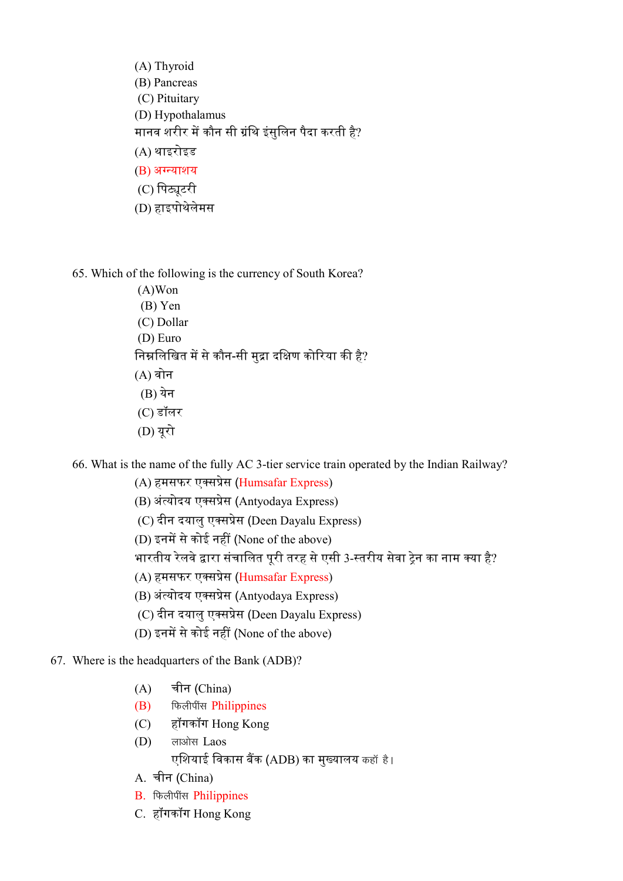- (A) Thyroid (B) Pancreas (C) Pituitary (D) Hypothalamus मानव शरीर में कौन सी ग्रंथि इंसलिन पैदा करती है? (A) थाइरोइड (B) अग्न्याशय (C) पिट्यटरी (D) हाइपोथेलेमस
- 65. Which of the following is the currency of South Korea?
	- (A)Won (B) Yen (C) Dollar (D) Euro निम्नलिखित में से कौन-सी मद्रा दक्षिण कोरिया की है? (A) वोन (B) येन (C) डॉलर (D) यूरो
- 66. What is the name of the fully AC 3-tier service train operated by the Indian Railway?
	- (A) हमसफर एक्सप्रेस (Humsafar Express)
	- (B) अंत्योदय एक्सप्रेस (Antyodaya Express)
	- (C) दीन दयालु एसᮧेस (Deen Dayalu Express)
	- (D) इनमें से कोई नहीं (None of the above)
	- भारतीय रेलवे द्वारा संचालित पूरी तरह से एसी 3-स्तरीय सेवा ट्रेन का नाम क्या है?
	- (A) हमसफर एक्सप्रेस (Humsafar Express)
	- (B) अंत्योदय एक्सप्रेस (Antyodaya Express)
	- (C) दीन दयालु एसᮧेस (Deen Dayalu Express)
	- (D) इनमें से कोई नहीं (None of the above)
- 67. Where is the headquarters of the Bank (ADB)?
	- (A) चीन (China)
	- $(B)$  फिलीपींस Philippines
	- (C) हॉगकॉग Hong Kong
	- (D) लाओस Laos एशियाई विकास बैंक (ADB) का मुख्यालय कहाँ है।
	- A. चीन (China)
	- B. फिलीपींस Philippines
	- C. हॉगकॉग Hong Kong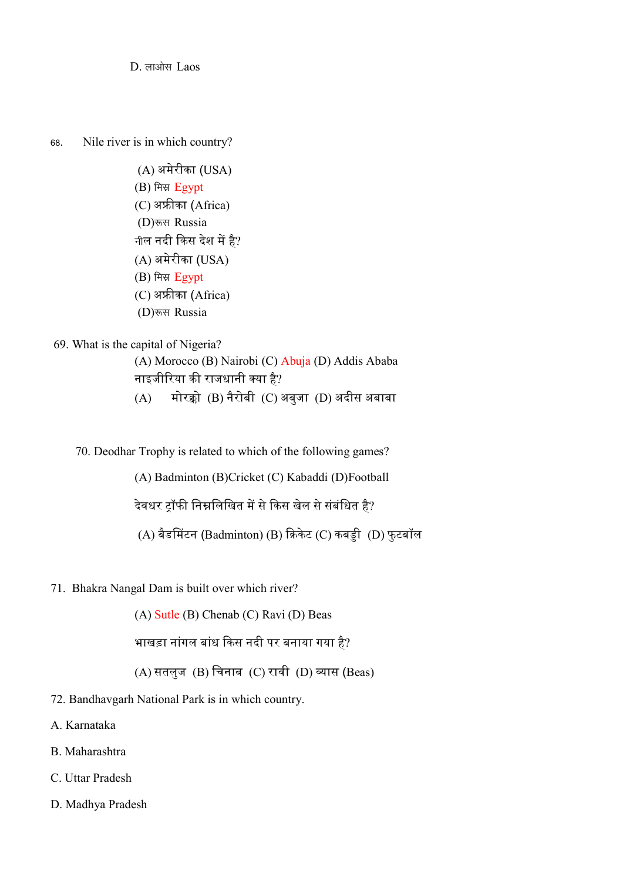D. लाओस Laos

68. Nile river is in which country?

 (A) अमेरीका (USA) (B) मिस्र Egypt (C) अफ्रीका (Africa) (D) रूस Russia नील नदी किस देश में है? (A) अमेरीका (USA) (B) मिस्र Egypt (C) अफ्रीका (Africa) (D) रूस Russia

# 69. What is the capital of Nigeria?

(A) Morocco (B) Nairobi (C) Abuja (D) Addis Ababa नाइजीरिया की राजधानी क्या है?

- $(A)$  मोरक्को  $(B)$  नैरोबी  $(C)$  अबुजा  $(D)$  अदीस अबाबा
- 70. Deodhar Trophy is related to which of the following games?

(A) Badminton (B)Cricket (C) Kabaddi (D)Football

देवधर ट्रॉफी निम्नलिखित में से किस खेल से संबंधित है?

(A) बैडमिंटन (Badminton) (B) क्रिकेट (C) कबड्डी (D) फुटबॉल

71. Bhakra Nangal Dam is built over which river?

(A) Sutle (B) Chenab (C) Ravi (D) Beas

भाखड़ा नांगल बांध किस नदी पर बनाया गया है?

 $(A)$  सतलुज  $(B)$  चिनाब  $(C)$  रावी  $(D)$  व्यास (Beas)

- 72. Bandhavgarh National Park is in which country.
- A. Karnataka
- B. Maharashtra
- C. Uttar Pradesh
- D. Madhya Pradesh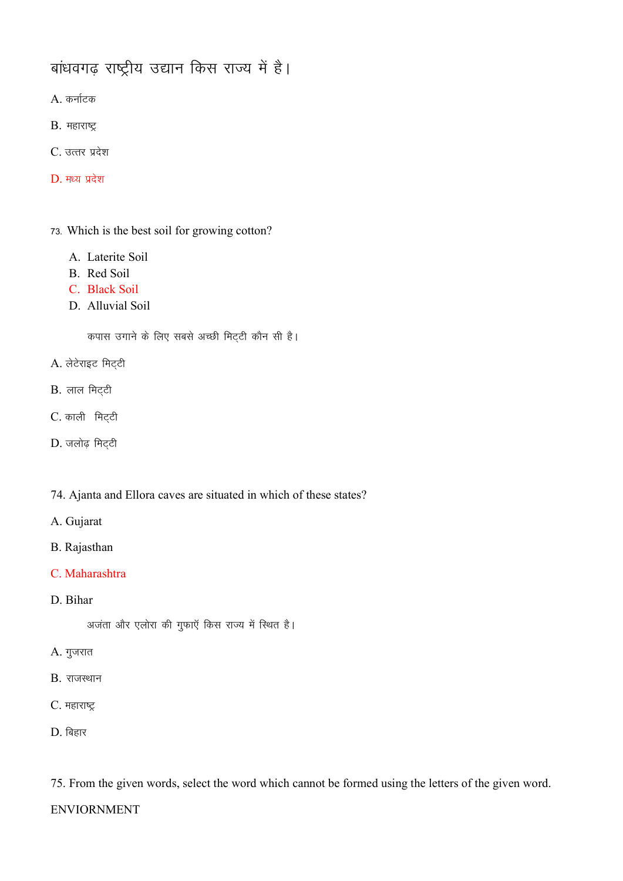# बांधवगढ़ राष्ट्रीय उद्यान किस राज्य में है।

 $A.$  कर्नाटक

- $B.$  महाराष्ट्र
- $C.$  उत्तर प्रदेश
- $D.$  मध्य प्रदेश
- 73- Which is the best soil for growing cotton?
	- A. Laterite Soil
	- B. Red Soil
	- C. Black Soil
	- D. Alluvial Soil

कपास उगाने के लिए सबसे अच्छी मिट्टी कौन सी है।

- $A.$  लेटेराइट मिट्टी
- $B.$  लाल मिट्टी
- C. काली मिट्टी
- $D.$  जलोढ़ मिट्टी
- 74. Ajanta and Ellora caves are situated in which of these states?
- A. Gujarat
- B. Rajasthan
- C. Maharashtra
- D. Bihar

अजंता और एलोरा की गुफाएँ किस राज्य में स्थित है।

- $A.$  गुजरात
- $B.$  राजस्थान
- C. महाराष्ट्र
- $D.$  बिहार

75. From the given words, select the word which cannot be formed using the letters of the given word.

ENVIORNMENT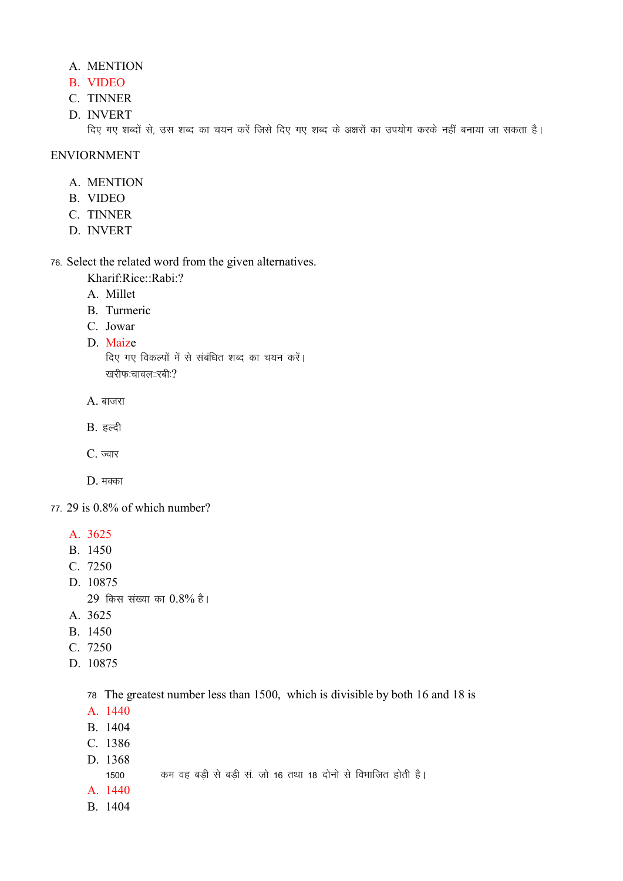# A. MENTION

- B. VIDEO
- C. TINNER
- D. INVERT

दिए गए शब्दों से, उस शब्द का चयन करें जिसे दिए गए शब्द के अक्षरों का उपयोग करके नहीं बनाया जा सकता है।

## ENVIORNMENT

- A. MENTION
- B. VIDEO
- C. TINNER
- D. INVERT

76- Select the related word from the given alternatives.

Kharif:Rice::Rabi:?

- A. Millet
- B. Turmeric
- C. Jowar
- D. Maize

दिए गए विकल्पों में से संबंधित शब्द का चयन करें। खरीफ:चावल::रबी: $\Omega$ 

 $A.$  बाजरा

 $B.$  हल्दी

 $C.$  ज्वार

 $D.$  मक्का

77- 29 is 0.8% of which number?

- A. 3625
- B. 1450
- C. 7250
- D. 10875

 $29$  किस संख्या का  $0.8\%$  है।

- A. 3625
- B. 1450
- C. 7250
- D. 10875

78 The greatest number less than 1500, which is divisible by both 16 and 18 is

- A. 1440
- B. 1404
- C. 1386
- D. 1368

1500 कम वह बड़ी से बड़ी सं. जो 16 तथा 18 दोनों से विभाजित होती है।

- A. 1440
- B. 1404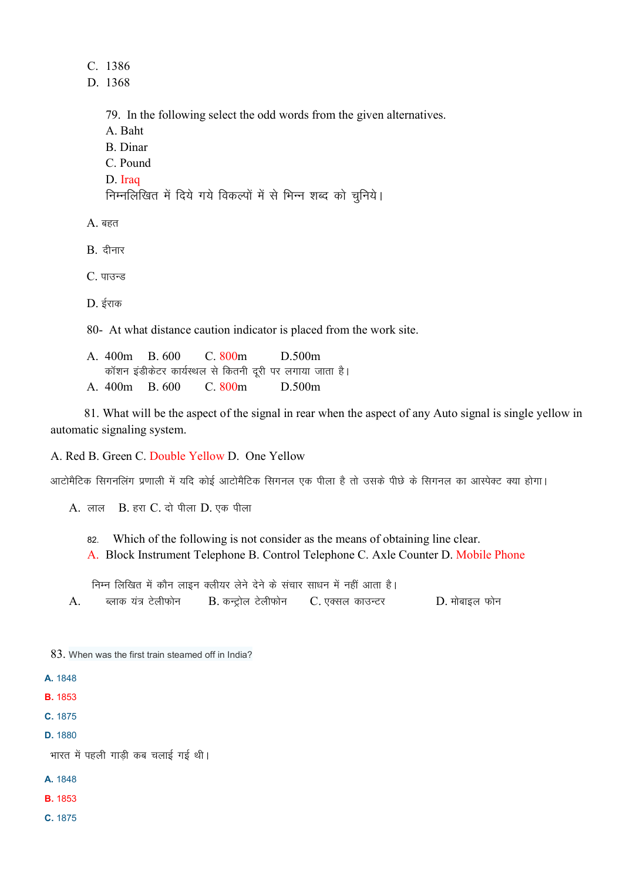C. 1386

D. 1368

79. In the following select the odd words from the given alternatives. A. Baht B. Dinar C. Pound D. Iraq निम्नलिखित में दिये गये विकल्पों में से भिन्न शब्द को चूनिये।  $A.$  बहत

 $B.$  दीनार

 $C.$  पाउन्ड

 $D.$  ईराक

80- At what distance caution indicator is placed from the work site.

A. 400m B. 600 C. 800m D.500m कॉशन इंडीकेटर कार्यस्थल से कितनी दूरी पर लगाया जाता है। A. 400m B. 600 C. 800m D.500m

 81. What will be the aspect of the signal in rear when the aspect of any Auto signal is single yellow in automatic signaling system.

A. Red B. Green C. Double Yellow D. One Yellow

आटोमैटिक सिगनलिंग प्रणाली में यदि कोई आटोमैटिक सिगनल एक पीला है तो उसके पीछे के सिगनल का आस्पेक्ट क्या होगा।

 $A.$  लाल  $B.$  हरा  $C.$  दो पीला  $D.$  एक पीला

82- Which of the following is not consider as the means of obtaining line clear.

A. Block Instrument Telephone B. Control Telephone C. Axle Counter D. Mobile Phone

<u>निम्न लिखित में कौन लाइन क्लीयर लेने देने के संचार साधन में नहीं आता है।</u> A. ब्लाक यंत्र टेलीफोन  $B$ . कन्ट्रोल टेलीफोन C. एक्सल काउन्टर  $D$ . मोबाइल फोन

83. When was the first train steamed off in India?

A. 1848

B. 1853

C. 1875

D. 1880

भारत में पहली गाडी कब चलाई गई थी।

A. 1848

B. 1853

C. 1875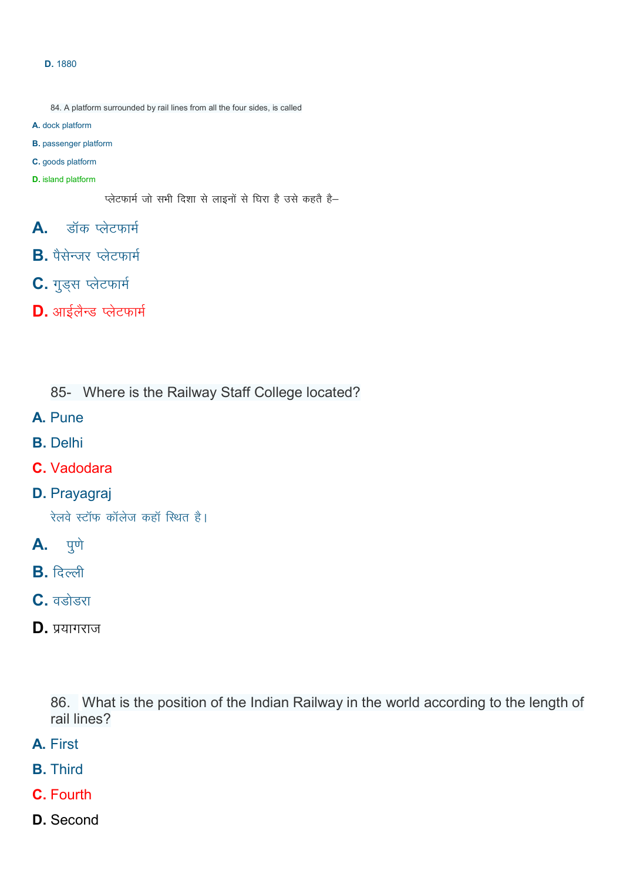#### D. 1880

- 84. A platform surrounded by rail lines from all the four sides, is called
- A. dock platform
- B. passenger platform
- C. goods platform
- D. island platform

प्लेटफार्म जो सभी दिशा से लाइनों से घिरा है उसे कहते है-

- $\mathsf{A}$ . डॉक प्लेटफार्म
- $B$ . पैसेन्जर प्लेटफार्म
- C. गुड्स प्लेटफार्म
- $D.$  आईलैन्ड प्लेटफार्म

85- Where is the Railway Staff College located?

- A. Pune
- B. Delhi
- C. Vadodara
- D. Prayagraj

रेलवे स्टॉफ कॉलेज कहॉ स्थित है।

- **A.** पुणे
- $B.$  दिल्ली
- $C.$  वडोडरा
- $D.$  प्रयागराज

86. What is the position of the Indian Railway in the world according to the length of rail lines?

- A. First
- B. Third
- C. Fourth
- D. Second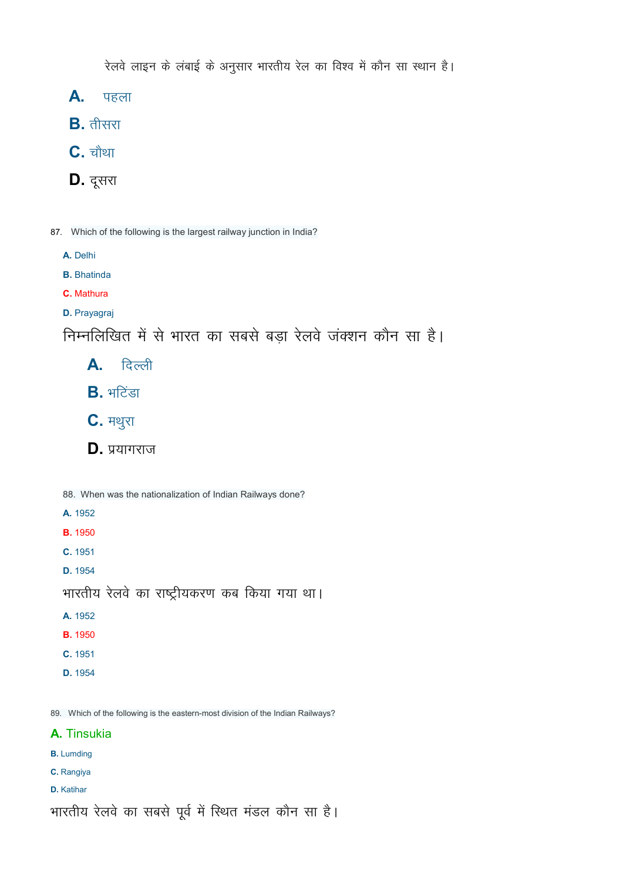रेलवे लाइन के लंबाई के अनुसार भारतीय रेल का विश्व में कौन सा स्थान है।

 $A.$  पहला

 $B.$  तीसरा

 $C.$  चौथा

- $D.$  दूसरा
- 87. Which of the following is the largest railway junction in India?
	- A. Delhi
	- B. Bhatinda
	- C. Mathura
	- D. Prayagraj

निम्नलिखित में से भारत का सबसे बड़ा रेलवे जंक्शन कौन सा है।

- $\mathsf{A}$ . दिल्ली
- $B.$  भटिंडा
- $C.$  मथुरा
- $D.$  प्रयागराज

88. When was the nationalization of Indian Railways done?

- A. 1952
- B. 1950
- C. 1951
- D. 1954

```
भारतीय रेलवे का राष्ट्रीयकरण कब किया गया था।
```
- A. 1952
- B. 1950
- C. 1951
- D. 1954

89. Which of the following is the eastern-most division of the Indian Railways?

# A. Tinsukia

- B. Lumding
- C. Rangiya
- D. Katihar

भारतीय रेलवे का सबसे पूर्व में स्थित मंडल कौन सा है।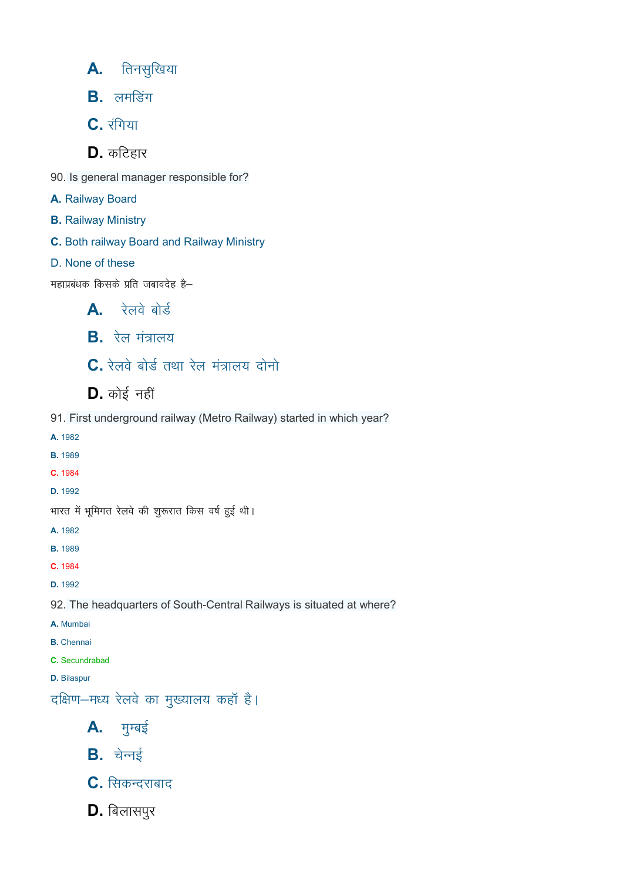- $A.$  तिनसुखिया
- $B.$  लमडिंग
- $C.$  रंगिया
- $D.$  कटिहार
- 90. Is general manager responsible for?
- A. Railway Board
- B. Railway Ministry
- C. Both railway Board and Railway Ministry
- D. None of these

महाप्रबंधक किसके प्रति जबावदेह है–

- $\mathbf{A}$ , रेलवे बोर्ड
- $B.$  रेल मंत्रालय
- $\mathbf C$ . रेलवे बोर्ड तथा रेल मंत्रालय दोनो
- $D.$  कोई नहीं
- 91. First underground railway (Metro Railway) started in which year?
- A. 1982 B. 1989 C. 1984 D. 1992 भारत में भूमिगत रेलवे की शुरूरात किस वर्ष हुई थी। A. 1982 B. 1989 C. 1984 D. 1992 92. The headquarters of South-Central Railways is situated at where? A. Mumbai B. Chennai C. Secundrabad
- D. Bilaspur
- दक्षिण-मध्य रेलवे का मुख्यालय कहाँ है।
	- $A.$  मुम्बई
	- $B.$  वेन्नई
	- $C.$  सिकन्दराबाद
	- $D.$  बिलासपुर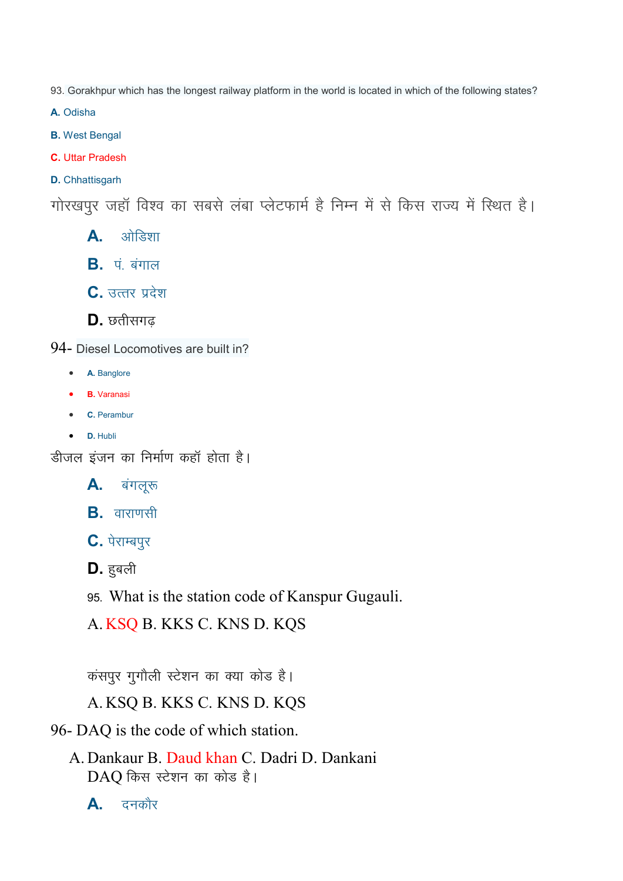93. Gorakhpur which has the longest railway platform in the world is located in which of the following states?

A. Odisha

- B. West Bengal
- C. Uttar Pradesh
- D. Chhattisgarh

गोरखपुर जहॉ विश्व का सबसे लंबा प्लेटफार्म है निम्न में से किस राज्य में स्थित है।

- A. vk sfM"kk
- $B.$   $\vec{q}$  aंगाल
- $C.$  उत्तर प्रदेश
- $\mathbf{D}$ . छतीसगढ
- 94- Diesel Locomotives are built in?
	- A. Banglore
	- B. Varanasi
	- C. Perambur
	- D. Hubli

डीजल इंजन का निर्माण कहाँ होता है।

- $\mathsf{A}$ . बंगलूरु
- $B.$  वाराणसी
- $C.$  पेराम्बपुर
- $D.$  हुबली
- 95- What is the station code of Kanspur Gugauli.
- A. KSQ B. KKS C. KNS D. KQS

कंसपुर गुगौली स्टेशन का क्या कोड है।

# A. KSQ B. KKS C. KNS D. KQS

- 96- DAQ is the code of which station.
	- A. Dankaur B. Daud khan C. Dadri D. Dankani DAO किस स्टेशन का कोड है।
		- $\mathsf{A}$ . दनकौर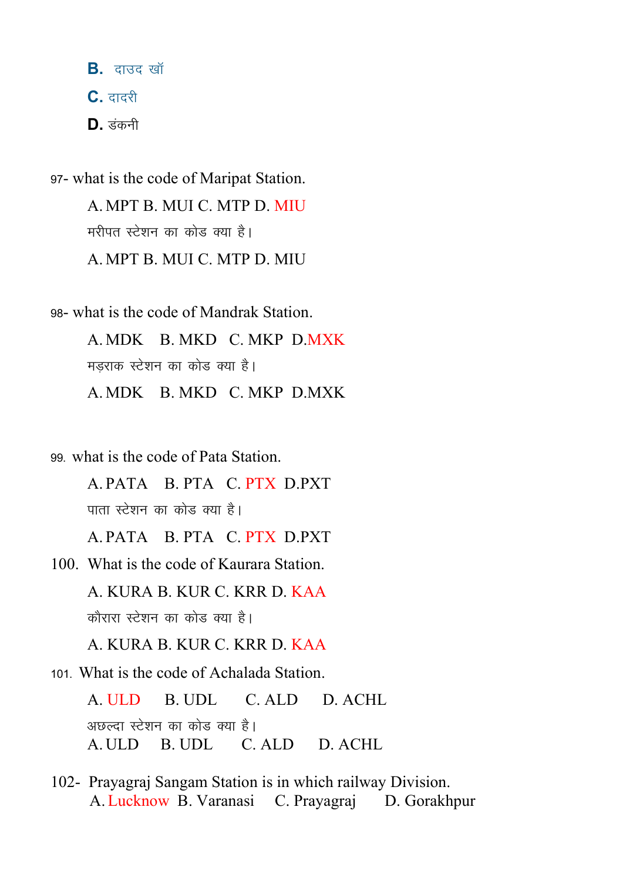$B.$  दाउद खॉ  $C.$  दादरी  $D.$  उंकनी

97- what is the code of Maripat Station. A. MPT B. MUI C. MTP D. MIU मरीपत स्टेशन का कोड क्या है। A. MPT B. MUI C. MTP D. MIU

98- what is the code of Mandrak Station. A. MDK B. MKD C. MKP D.MXK मडराक स्टेशन का कोड क्या है। A. MDK B. MKD C. MKP D.MXK

99- what is the code of Pata Station.

A. PATA B. PTA C. PTX D.PXT पाता स्टेशन का कोड़ क्या है।

A. PATA B. PTA C. PTX D.PXT

100. What is the code of Kaurara Station. A. KURA B. KUR C. KRR D. KAA

कौरारा स्टेशन का कोड क्या है।

A. KURA B. KUR C. KRR D. KAA

101- What is the code of Achalada Station.

A. ULD B. UDL C. ALD D. ACHL अछल्दा स्टेशन का कोड क्या है। A. ULD B. UDL C. ALD D. ACHL

102- Prayagraj Sangam Station is in which railway Division. A.Lucknow B. Varanasi C. Prayagraj D. Gorakhpur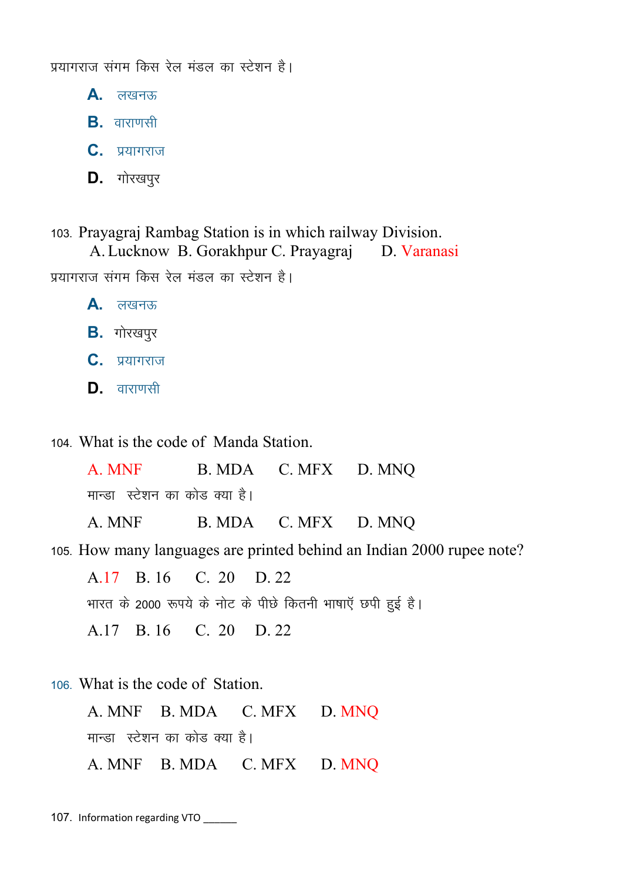प्रयागराज संगम किस रेल मंडल का स्टेशन है।

 $A.$  लखनऊ

 $B.$  arviorsh

 $C.$  प्रयागराज

 $D.$  गोरखपुर

103- Prayagraj Rambag Station is in which railway Division.

A. Lucknow B. Gorakhpur C. Prayagraj D. Varanasi प्रयागराज संगम किस रेल मंडल का स्टेशन है।  $A.$  लखनऊ  $B.$  *गोरखपुर* 

 $C.$  प्रयागराज

 $\mathbf{D}$ . वाराणसी

104- What is the code of Manda Station.

A. MNF B. MDA C. MFX D. MNQ मान्डा स्टेशन का कोड क्या है।

A. MNF B. MDA C. MFX D. MNQ

105- How many languages are printed behind an Indian 2000 rupee note?

A.17 B. 16 C. 20 D. 22 भारत के 2000 रूपये के नोट के पीछे कितनी भाषाएँ छपी हुई है। A.17 B. 16 C. 20 D. 22

106- What is the code of Station.

A. MNF B. MDA C. MFX D. MNQ मान्डा) स्टेशन का कोड क्या है। A. MNF B. MDA C. MFX D. MNQ

107. Information regarding VTO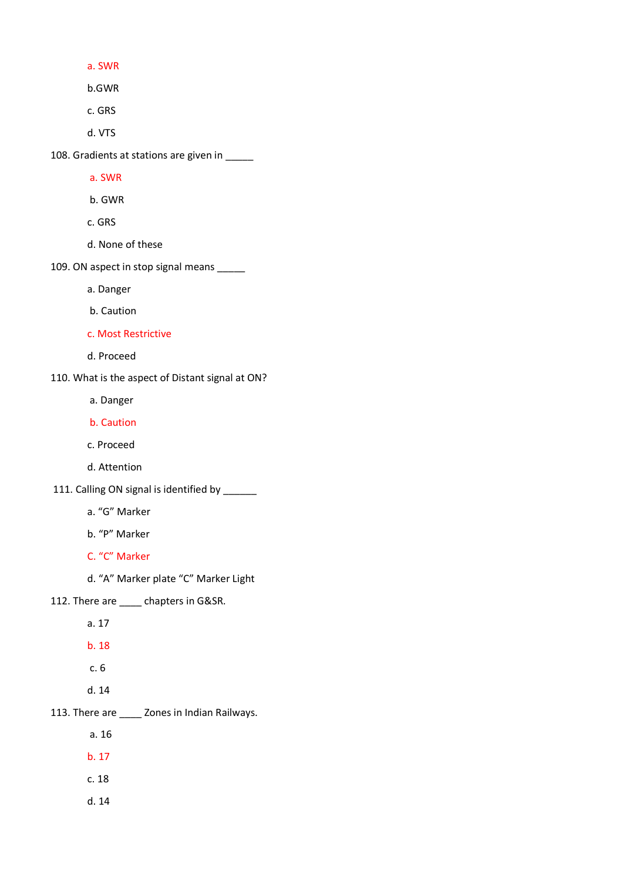a. SWR

b.GWR

c. GRS

d. VTS

108. Gradients at stations are given in \_\_\_\_\_

a. SWR

b. GWR

c. GRS

d. None of these

109. ON aspect in stop signal means \_\_\_\_\_

a. Danger

b. Caution

c. Most Restrictive

d. Proceed

110. What is the aspect of Distant signal at ON?

a. Danger

b. Caution

c. Proceed

d. Attention

111. Calling ON signal is identified by \_\_\_\_\_\_

a. "G" Marker

b. "P" Marker

C. "C" Marker

d. "A" Marker plate "C" Marker Light

112. There are \_\_\_\_\_ chapters in G&SR.

a. 17

b. 18

c. 6

d. 14

113. There are \_\_\_\_ Zones in Indian Railways.

a. 16

b. 17

c. 18

d. 14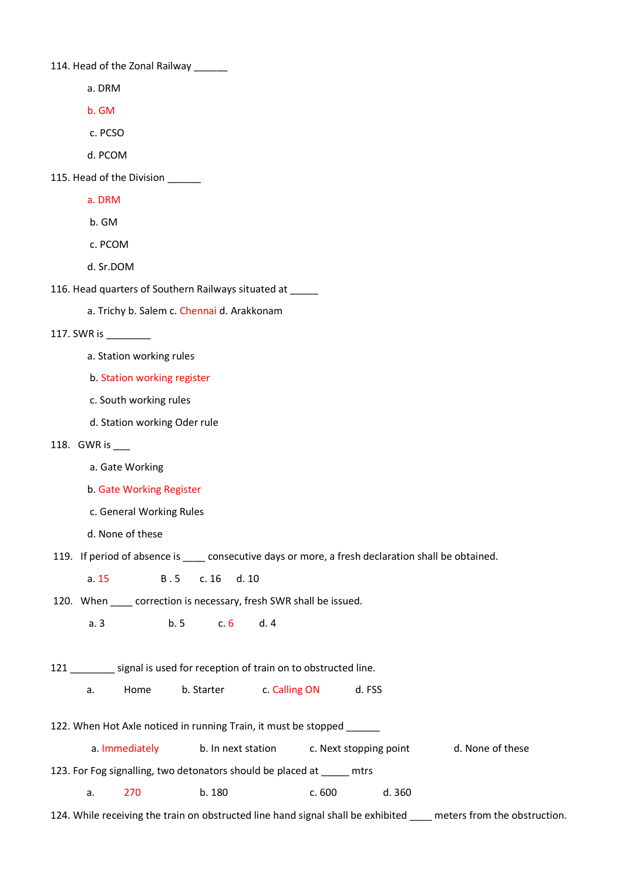114. Head of the Zonal Railway

- a. DRM
- b. GM
- c. PCSO
- d. PCOM
- 115. Head of the Division
	- a. DRM
	- b. GM
	- c. PCOM
	- d. Sr.DOM
- 116. Head quarters of Southern Railways situated at \_\_\_\_\_
	- a. Trichy b. Salem c. Chennai d. Arakkonam

#### 117. SWR is \_\_\_\_\_\_\_\_

- a. Station working rules
- b. Station working register
- c. South working rules
- d. Station working Oder rule
- 118. GWR is \_\_\_
	- a. Gate Working
	- b. Gate Working Register
	- c. General Working Rules
	- d. None of these
- 119. If period of absence is \_\_\_\_ consecutive days or more, a fresh declaration shall be obtained.
	- a. 15 B.5 c. 16 d. 10
- 120. When \_\_\_\_\_ correction is necessary, fresh SWR shall be issued.
	- a. 3 b. 5 c. 6 d. 4
- 121 \_\_\_\_\_\_\_ signal is used for reception of train on to obstructed line.
	- a. Home b. Starter c. Calling ON d. FSS
- 122. When Hot Axle noticed in running Train, it must be stopped \_\_\_\_\_\_
	- a. Immediately b. In next station c. Next stopping point d. None of these
- 123. For Fog signalling, two detonators should be placed at \_\_\_\_\_ mtrs
	- a. 270 b. 180 c. 600 d. 360
- 124. While receiving the train on obstructed line hand signal shall be exhibited meters from the obstruction.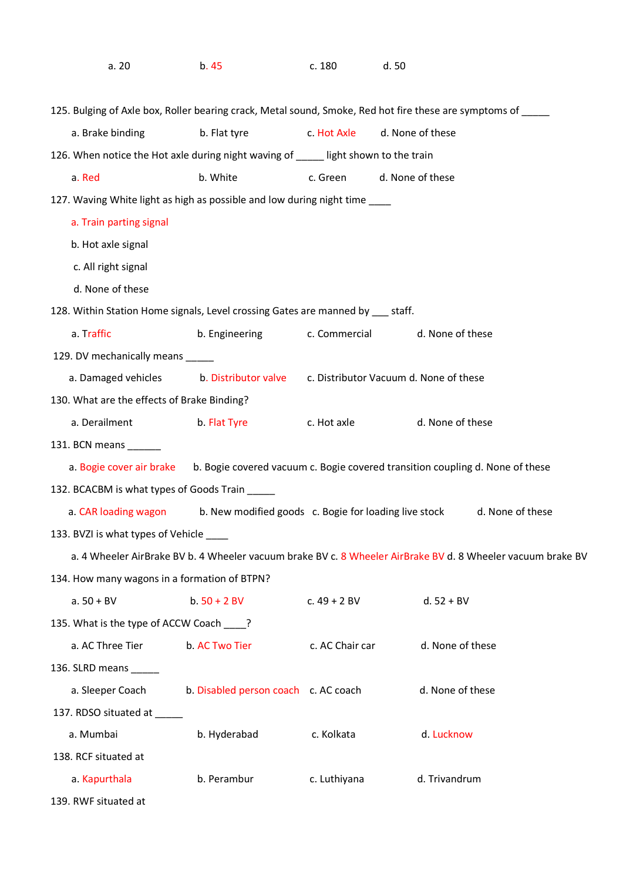| a.20                                                                                                         | b. 45                                                 | c. 180          | d. 50                                                                                                       |  |
|--------------------------------------------------------------------------------------------------------------|-------------------------------------------------------|-----------------|-------------------------------------------------------------------------------------------------------------|--|
| 125. Bulging of Axle box, Roller bearing crack, Metal sound, Smoke, Red hot fire these are symptoms of _____ |                                                       |                 |                                                                                                             |  |
| a. Brake binding                                                                                             | b. Flat tyre                                          | c. Hot Axle     | d. None of these                                                                                            |  |
| 126. When notice the Hot axle during night waving of ____ light shown to the train                           |                                                       |                 |                                                                                                             |  |
| a. Red                                                                                                       | b. White                                              | c. Green        | d. None of these                                                                                            |  |
| 127. Waving White light as high as possible and low during night time ____                                   |                                                       |                 |                                                                                                             |  |
| a. Train parting signal                                                                                      |                                                       |                 |                                                                                                             |  |
| b. Hot axle signal                                                                                           |                                                       |                 |                                                                                                             |  |
| c. All right signal                                                                                          |                                                       |                 |                                                                                                             |  |
| d. None of these                                                                                             |                                                       |                 |                                                                                                             |  |
| 128. Within Station Home signals, Level crossing Gates are manned by ___ staff.                              |                                                       |                 |                                                                                                             |  |
| a. Traffic                                                                                                   | b. Engineering                                        | c. Commercial   | d. None of these                                                                                            |  |
| 129. DV mechanically means _____                                                                             |                                                       |                 |                                                                                                             |  |
| a. Damaged vehicles                                                                                          |                                                       |                 | b. Distributor valve c. Distributor Vacuum d. None of these                                                 |  |
| 130. What are the effects of Brake Binding?                                                                  |                                                       |                 |                                                                                                             |  |
| a. Derailment                                                                                                | b. Flat Tyre                                          | c. Hot axle     | d. None of these                                                                                            |  |
| 131. BCN means _______                                                                                       |                                                       |                 |                                                                                                             |  |
|                                                                                                              |                                                       |                 | a. Bogie cover air brake b. Bogie covered vacuum c. Bogie covered transition coupling d. None of these      |  |
| 132. BCACBM is what types of Goods Train                                                                     |                                                       |                 |                                                                                                             |  |
| a. CAR loading wagon                                                                                         | b. New modified goods c. Bogie for loading live stock |                 | d. None of these                                                                                            |  |
| 133. BVZI is what types of Vehicle _____                                                                     |                                                       |                 |                                                                                                             |  |
|                                                                                                              |                                                       |                 | a. 4 Wheeler AirBrake BV b. 4 Wheeler vacuum brake BV c. 8 Wheeler AirBrake BV d. 8 Wheeler vacuum brake BV |  |
| 134. How many wagons in a formation of BTPN?                                                                 |                                                       |                 |                                                                                                             |  |
| $a. 50 + BV$                                                                                                 | $b.50 + 2 BV$                                         | c. $49 + 2$ BV  | $d. 52 + BV$                                                                                                |  |
| 135. What is the type of ACCW Coach ___?                                                                     |                                                       |                 |                                                                                                             |  |
| a. AC Three Tier                                                                                             | b. AC Two Tier                                        | c. AC Chair car | d. None of these                                                                                            |  |
| 136. SLRD means ______                                                                                       |                                                       |                 |                                                                                                             |  |
| a. Sleeper Coach                                                                                             | b. Disabled person coach c. AC coach                  |                 | d. None of these                                                                                            |  |
| 137. RDSO situated at _____                                                                                  |                                                       |                 |                                                                                                             |  |
| a. Mumbai                                                                                                    | b. Hyderabad                                          | c. Kolkata      | d. Lucknow                                                                                                  |  |
| 138. RCF situated at                                                                                         |                                                       |                 |                                                                                                             |  |
| a. Kapurthala                                                                                                | b. Perambur                                           | c. Luthiyana    | d. Trivandrum                                                                                               |  |
| 139. RWF situated at                                                                                         |                                                       |                 |                                                                                                             |  |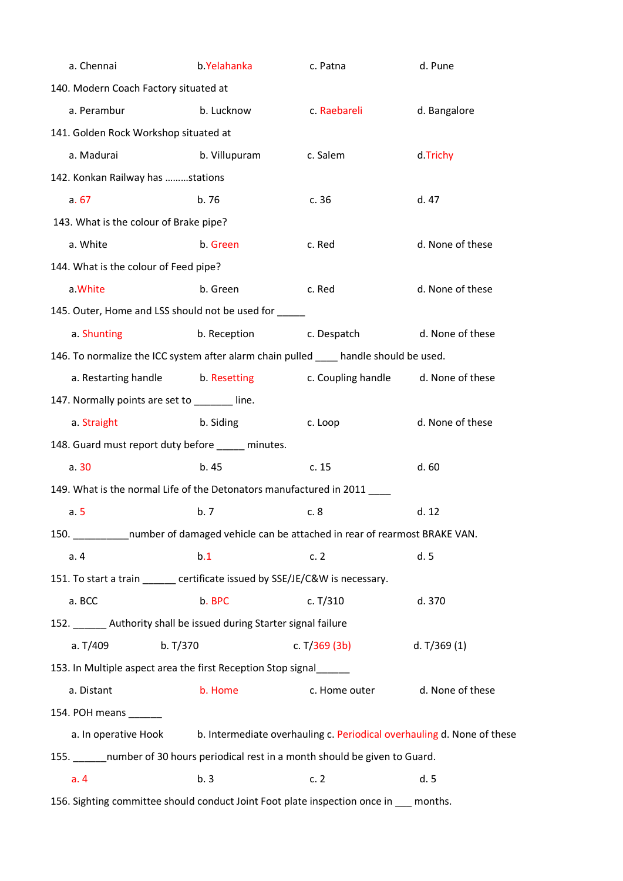| a. Chennai                                                                            | b.Yelahanka       | c. Patna                                                               | d. Pune          |  |  |
|---------------------------------------------------------------------------------------|-------------------|------------------------------------------------------------------------|------------------|--|--|
| 140. Modern Coach Factory situated at                                                 |                   |                                                                        |                  |  |  |
| a. Perambur                                                                           | b. Lucknow        | c. Raebareli                                                           | d. Bangalore     |  |  |
| 141. Golden Rock Workshop situated at                                                 |                   |                                                                        |                  |  |  |
| a. Madurai                                                                            | b. Villupuram     | c. Salem                                                               | d.Trichy         |  |  |
| 142. Konkan Railway has stations                                                      |                   |                                                                        |                  |  |  |
| a.67                                                                                  | b.76              | c.36                                                                   | d. 47            |  |  |
| 143. What is the colour of Brake pipe?                                                |                   |                                                                        |                  |  |  |
| a. White                                                                              | b. Green          | c. Red                                                                 | d. None of these |  |  |
| 144. What is the colour of Feed pipe?                                                 |                   |                                                                        |                  |  |  |
| a. White                                                                              | b. Green          | c. Red                                                                 | d. None of these |  |  |
| 145. Outer, Home and LSS should not be used for _____                                 |                   |                                                                        |                  |  |  |
| a. Shunting                                                                           | b. Reception      | c. Despatch                                                            | d. None of these |  |  |
| 146. To normalize the ICC system after alarm chain pulled ____ handle should be used. |                   |                                                                        |                  |  |  |
| a. Restarting handle                                                                  | b. Resetting book | c. Coupling handle                                                     | d. None of these |  |  |
| 147. Normally points are set to ______ line.                                          |                   |                                                                        |                  |  |  |
| a. Straight                                                                           | b. Siding         | c. Loop                                                                | d. None of these |  |  |
| 148. Guard must report duty before _____ minutes.                                     |                   |                                                                        |                  |  |  |
| a.30                                                                                  | h.45              | c.15                                                                   | d.60             |  |  |
| 149. What is the normal Life of the Detonators manufactured in 2011                   |                   |                                                                        |                  |  |  |
| a.5                                                                                   | b.7               | c. 8                                                                   | d.12             |  |  |
| 150. number of damaged vehicle can be attached in rear of rearmost BRAKE VAN.         |                   |                                                                        |                  |  |  |
| a. 4                                                                                  | b.1               | c.2                                                                    | d. 5             |  |  |
| 151. To start a train ______ certificate issued by SSE/JE/C&W is necessary.           |                   |                                                                        |                  |  |  |
| a. BCC                                                                                | b. BPC            | c. $T/310$                                                             | d. 370           |  |  |
| 152. Authority shall be issued during Starter signal failure                          |                   |                                                                        |                  |  |  |
| b. T/370<br>a. T/409                                                                  |                   | c. $T/369$ (3b)                                                        | d. $T/369(1)$    |  |  |
| 153. In Multiple aspect area the first Reception Stop signal                          |                   |                                                                        |                  |  |  |
| a. Distant                                                                            | b. Home           | c. Home outer                                                          | d. None of these |  |  |
| 154. POH means ______                                                                 |                   |                                                                        |                  |  |  |
| a. In operative Hook                                                                  |                   | b. Intermediate overhauling c. Periodical overhauling d. None of these |                  |  |  |
| 155. _______ number of 30 hours periodical rest in a month should be given to Guard.  |                   |                                                                        |                  |  |  |
| a.4                                                                                   | b.3               | c.2                                                                    | d.5              |  |  |
| 156. Sighting committee should conduct Joint Foot plate inspection once in __ months. |                   |                                                                        |                  |  |  |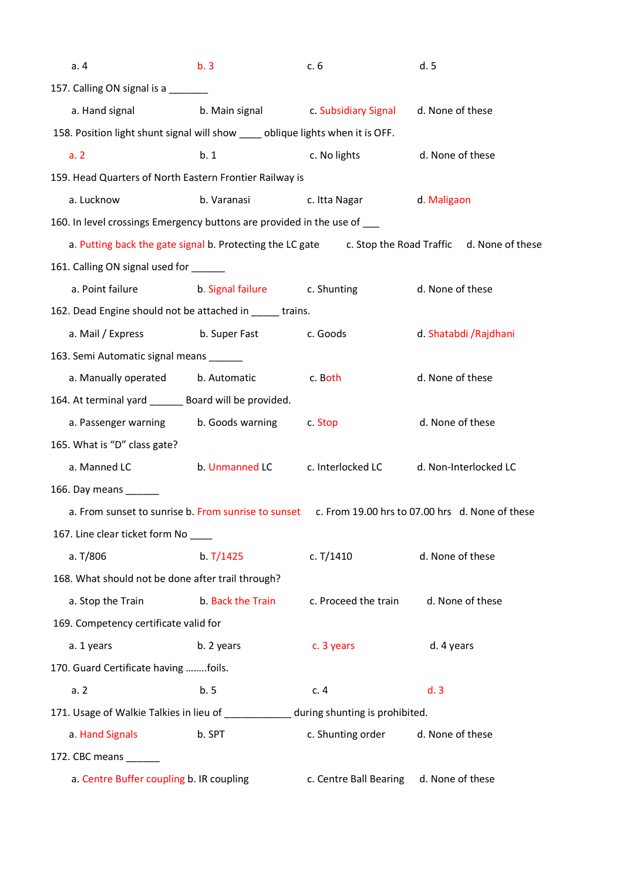| a.4                                    | b.3                                                                                                 | c.6                                 | d.5                    |
|----------------------------------------|-----------------------------------------------------------------------------------------------------|-------------------------------------|------------------------|
| 157. Calling ON signal is a _______    |                                                                                                     |                                     |                        |
| a. Hand signal                         |                                                                                                     | b. Main signal c. Subsidiary Signal | d. None of these       |
|                                        | 158. Position light shunt signal will show _____ oblique lights when it is OFF.                     |                                     |                        |
| a.2                                    | b.1                                                                                                 | c. No lights                        | d. None of these       |
|                                        | 159. Head Quarters of North Eastern Frontier Railway is                                             |                                     |                        |
| a. Lucknow                             | b. Varanasi                                                                                         | c. Itta Nagar                       | d. Maligaon            |
|                                        | 160. In level crossings Emergency buttons are provided in the use of ___                            |                                     |                        |
|                                        | a. Putting back the gate signal b. Protecting the LC gate c. Stop the Road Traffic d. None of these |                                     |                        |
| 161. Calling ON signal used for ______ |                                                                                                     |                                     |                        |
| a. Point failure                       | b. Signal failure c. Shunting                                                                       |                                     | d. None of these       |
|                                        | 162. Dead Engine should not be attached in _____ trains.                                            |                                     |                        |
| a. Mail / Express                      | b. Super Fast c. Goods                                                                              |                                     | d. Shatabdi / Rajdhani |
| 163. Semi Automatic signal means _____ |                                                                                                     |                                     |                        |
|                                        | a. Manually operated b. Automatic                                                                   | c. Both                             | d. None of these       |
|                                        | 164. At terminal yard _______ Board will be provided.                                               |                                     |                        |
|                                        | a. Passenger warning b. Goods warning                                                               | c. Stop                             | d. None of these       |
| 165. What is "D" class gate?           |                                                                                                     |                                     |                        |
| a. Manned LC                           |                                                                                                     | b. Unmanned LC c. Interlocked LC    | d. Non-Interlocked LC  |
| 166. Day means ______                  |                                                                                                     |                                     |                        |
|                                        | a. From sunset to sunrise b. From sunrise to sunset c. From 19.00 hrs to 07.00 hrs d. None of these |                                     |                        |
| 167. Line clear ticket form No ___     |                                                                                                     |                                     |                        |
| a. T/806                               | b. T/1425                                                                                           | c. T/1410                           | d. None of these       |
|                                        | 168. What should not be done after trail through?                                                   |                                     |                        |
| a. Stop the Train                      | b. Back the Train                                                                                   | c. Proceed the train                | d. None of these       |
| 169. Competency certificate valid for  |                                                                                                     |                                     |                        |
| a. 1 years                             | b. 2 years                                                                                          | c. 3 years                          | d. 4 years             |
| 170. Guard Certificate having foils.   |                                                                                                     |                                     |                        |
| a.2                                    | b.5                                                                                                 | c.4                                 | d.3                    |
|                                        | 171. Usage of Walkie Talkies in lieu of ____________ during shunting is prohibited.                 |                                     |                        |
| a. Hand Signals                        | b. SPT                                                                                              | c. Shunting order                   | d. None of these       |
| 172. CBC means _______                 |                                                                                                     |                                     |                        |
|                                        | a. Centre Buffer coupling b. IR coupling                                                            | c. Centre Ball Bearing              | d. None of these       |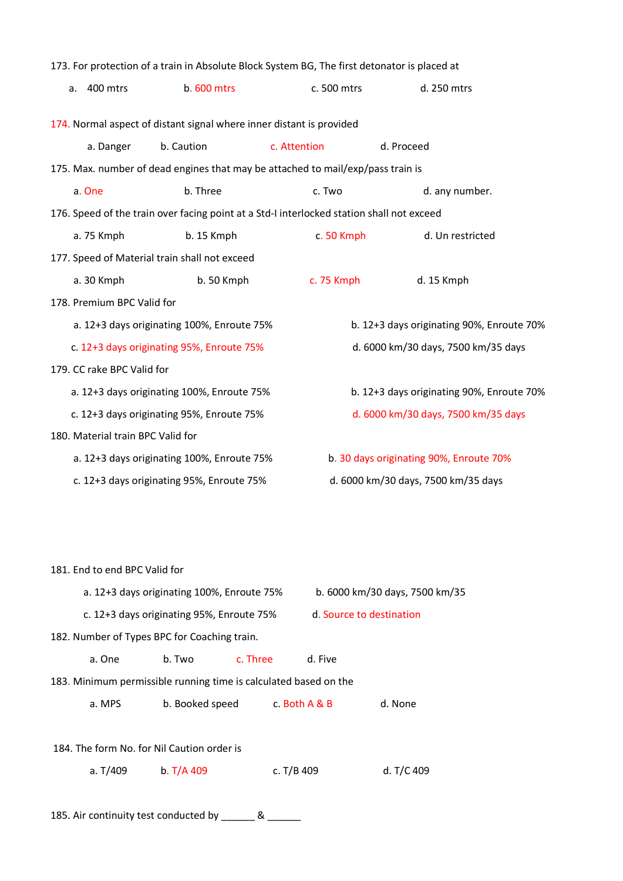|                                           |                                   |                                                                      | 173. For protection of a train in Absolute Block System BG, The first detonator is placed at |                                           |  |
|-------------------------------------------|-----------------------------------|----------------------------------------------------------------------|----------------------------------------------------------------------------------------------|-------------------------------------------|--|
| a.                                        | 400 mtrs                          | b. 600 mtrs                                                          | c. 500 mtrs                                                                                  | d. 250 mtrs                               |  |
|                                           |                                   |                                                                      |                                                                                              |                                           |  |
|                                           |                                   | 174. Normal aspect of distant signal where inner distant is provided |                                                                                              |                                           |  |
|                                           | a. Danger                         | b. Caution                                                           | c. Attention                                                                                 | d. Proceed                                |  |
|                                           |                                   |                                                                      | 175. Max. number of dead engines that may be attached to mail/exp/pass train is              |                                           |  |
|                                           | a. One                            | b. Three                                                             | c. Two                                                                                       | d. any number.                            |  |
|                                           |                                   |                                                                      | 176. Speed of the train over facing point at a Std-I interlocked station shall not exceed    |                                           |  |
|                                           | a. 75 Kmph                        | b. 15 Kmph                                                           | c. 50 Kmph                                                                                   | d. Un restricted                          |  |
|                                           |                                   | 177. Speed of Material train shall not exceed                        |                                                                                              |                                           |  |
|                                           | a. 30 Kmph                        | b. 50 Kmph                                                           | c. 75 Kmph                                                                                   | d. 15 Kmph                                |  |
|                                           | 178. Premium BPC Valid for        |                                                                      |                                                                                              |                                           |  |
|                                           |                                   | a. 12+3 days originating 100%, Enroute 75%                           |                                                                                              | b. 12+3 days originating 90%, Enroute 70% |  |
|                                           |                                   | c. 12+3 days originating 95%, Enroute 75%                            |                                                                                              | d. 6000 km/30 days, 7500 km/35 days       |  |
|                                           | 179. CC rake BPC Valid for        |                                                                      |                                                                                              |                                           |  |
|                                           |                                   | a. 12+3 days originating 100%, Enroute 75%                           |                                                                                              | b. 12+3 days originating 90%, Enroute 70% |  |
| c. 12+3 days originating 95%, Enroute 75% |                                   |                                                                      | d. 6000 km/30 days, 7500 km/35 days                                                          |                                           |  |
|                                           | 180. Material train BPC Valid for |                                                                      |                                                                                              |                                           |  |
|                                           |                                   | a. 12+3 days originating 100%, Enroute 75%                           |                                                                                              | b. 30 days originating 90%, Enroute 70%   |  |
|                                           |                                   | c. 12+3 days originating 95%, Enroute 75%                            |                                                                                              | d. 6000 km/30 days, 7500 km/35 days       |  |
|                                           |                                   |                                                                      |                                                                                              |                                           |  |

| 181. End to end BPC Valid for                                    |                                            |                                              |              |                          |                                |  |  |
|------------------------------------------------------------------|--------------------------------------------|----------------------------------------------|--------------|--------------------------|--------------------------------|--|--|
|                                                                  | a. 12+3 days originating 100%, Enroute 75% |                                              |              |                          | b. 6000 km/30 days, 7500 km/35 |  |  |
|                                                                  | c. 12+3 days originating 95%, Enroute 75%  |                                              |              | d. Source to destination |                                |  |  |
|                                                                  |                                            | 182. Number of Types BPC for Coaching train. |              |                          |                                |  |  |
|                                                                  | a. One                                     | b. Two                                       | c. Three     | d. Five                  |                                |  |  |
| 183. Minimum permissible running time is calculated based on the |                                            |                                              |              |                          |                                |  |  |
|                                                                  | a. MPS                                     | b. Booked speed                              |              | c. Both A & B            | d. None                        |  |  |
|                                                                  |                                            |                                              |              |                          |                                |  |  |
| 184. The form No. for Nil Caution order is                       |                                            |                                              |              |                          |                                |  |  |
|                                                                  | a. $T/409$                                 | b. T/A 409                                   | c. $T/B$ 409 |                          | d. T/C 409                     |  |  |

185. Air continuity test conducted by \_\_\_\_\_\_\_ & \_\_\_\_\_\_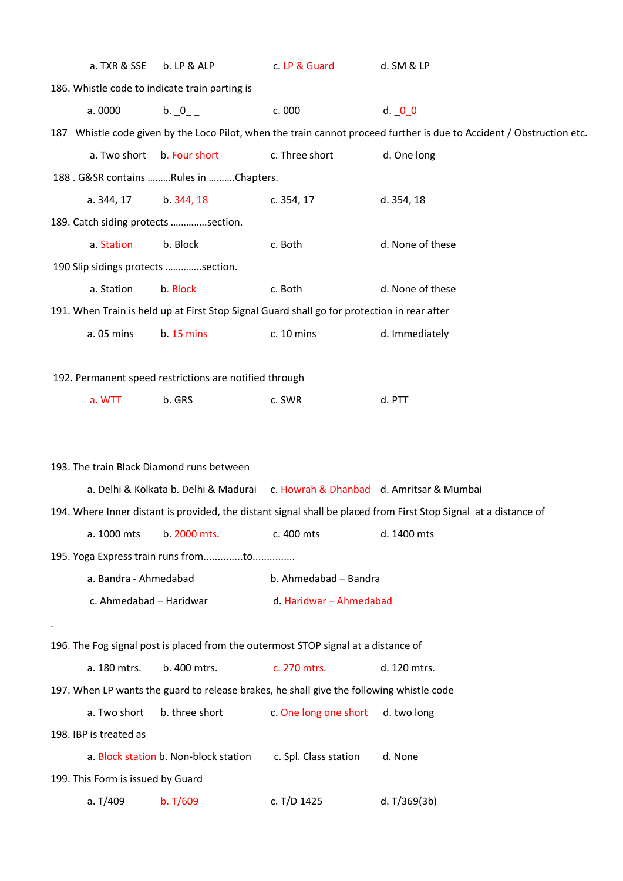| a. TXR & SSE                      | b. LP & ALP                                            | c. LP & Guard                                                                               | d. SM & LP                                                                                                            |
|-----------------------------------|--------------------------------------------------------|---------------------------------------------------------------------------------------------|-----------------------------------------------------------------------------------------------------------------------|
|                                   | 186. Whistle code to indicate train parting is         |                                                                                             |                                                                                                                       |
| a. 0000                           | b. 0                                                   | c. 000                                                                                      | $d.$ $0$ $0$                                                                                                          |
|                                   |                                                        |                                                                                             | 187 Whistle code given by the Loco Pilot, when the train cannot proceed further is due to Accident / Obstruction etc. |
| a. Two short                      | b. Four short                                          | c. Three short                                                                              | d. One long                                                                                                           |
|                                   | 188. G&SR contains Rules in Chapters.                  |                                                                                             |                                                                                                                       |
| a. 344, 17                        | b. 344, 18                                             | c. 354, 17                                                                                  | d. 354, 18                                                                                                            |
|                                   | 189. Catch siding protects section.                    |                                                                                             |                                                                                                                       |
| a. Station                        | b. Block                                               | c. Both                                                                                     | d. None of these                                                                                                      |
|                                   | 190 Slip sidings protects section.                     |                                                                                             |                                                                                                                       |
| a. Station                        | b. Block                                               | c. Both                                                                                     | d. None of these                                                                                                      |
|                                   |                                                        | 191. When Train is held up at First Stop Signal Guard shall go for protection in rear after |                                                                                                                       |
| a. 05 mins                        | b. 15 mins                                             | c. 10 mins                                                                                  | d. Immediately                                                                                                        |
|                                   |                                                        |                                                                                             |                                                                                                                       |
|                                   | 192. Permanent speed restrictions are notified through |                                                                                             |                                                                                                                       |
| a. WTT                            | b. GRS                                                 | c. SWR                                                                                      | d. PTT                                                                                                                |
|                                   |                                                        |                                                                                             |                                                                                                                       |
|                                   |                                                        |                                                                                             |                                                                                                                       |
|                                   | 193. The train Black Diamond runs between              |                                                                                             |                                                                                                                       |
|                                   |                                                        | a. Delhi & Kolkata b. Delhi & Madurai c. Howrah & Dhanbad d. Amritsar & Mumbai              |                                                                                                                       |
|                                   |                                                        |                                                                                             | 194. Where Inner distant is provided, the distant signal shall be placed from First Stop Signal at a distance of      |
| a. 1000 mts                       | b. 2000 mts.                                           | c. 400 mts                                                                                  | d. 1400 mts                                                                                                           |
|                                   | 195. Yoga Express train runs fromto                    |                                                                                             |                                                                                                                       |
| a. Bandra - Ahmedabad             |                                                        | b. Ahmedabad - Bandra                                                                       |                                                                                                                       |
| c. Ahmedabad - Haridwar           |                                                        | d. Haridwar - Ahmedabad                                                                     |                                                                                                                       |
|                                   |                                                        |                                                                                             |                                                                                                                       |
|                                   |                                                        | 196. The Fog signal post is placed from the outermost STOP signal at a distance of          |                                                                                                                       |
| a. 180 mtrs.                      | b. 400 mtrs.                                           | c. 270 mtrs.                                                                                | d. 120 mtrs.                                                                                                          |
|                                   |                                                        | 197. When LP wants the guard to release brakes, he shall give the following whistle code    |                                                                                                                       |
| a. Two short                      | b. three short                                         | c. One long one short                                                                       | d. two long                                                                                                           |
| 198. IBP is treated as            |                                                        |                                                                                             |                                                                                                                       |
|                                   | a. Block station b. Non-block station                  | c. Spl. Class station                                                                       | d. None                                                                                                               |
| 199. This Form is issued by Guard |                                                        |                                                                                             |                                                                                                                       |
| a. T/409                          | b. T/609                                               | c. T/D 1425                                                                                 | d. T/369(3b)                                                                                                          |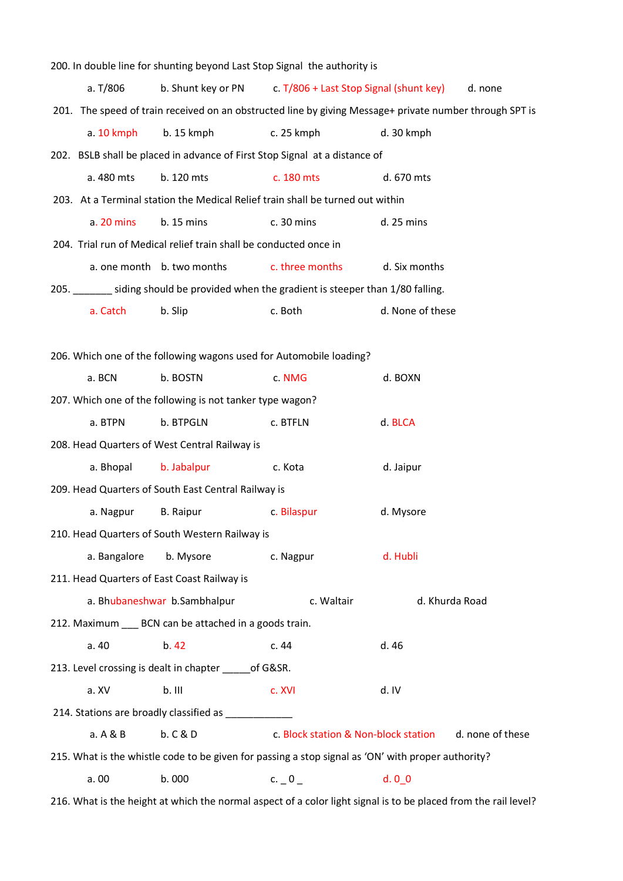|              |                                                                   | 200. In double line for shunting beyond Last Stop Signal the authority is              |                                                                                                         |
|--------------|-------------------------------------------------------------------|----------------------------------------------------------------------------------------|---------------------------------------------------------------------------------------------------------|
| a. T/806     |                                                                   | b. Shunt key or PN c. T/806 + Last Stop Signal (shunt key)                             | d. none                                                                                                 |
|              |                                                                   |                                                                                        | 201. The speed of train received on an obstructed line by giving Message+ private number through SPT is |
| $a. 10$ kmph | $b. 15$ kmph                                                      | c. 25 kmph                                                                             | d. 30 kmph                                                                                              |
|              |                                                                   | 202. BSLB shall be placed in advance of First Stop Signal at a distance of             |                                                                                                         |
| a. 480 mts   | b. 120 mts                                                        | c. 180 mts                                                                             | d. 670 mts                                                                                              |
|              |                                                                   | 203. At a Terminal station the Medical Relief train shall be turned out within         |                                                                                                         |
| a. 20 mins   | b. 15 mins                                                        | c. 30 mins                                                                             | d. 25 mins                                                                                              |
|              | 204. Trial run of Medical relief train shall be conducted once in |                                                                                        |                                                                                                         |
|              | a. one month b. two months                                        | c. three months                                                                        | d. Six months                                                                                           |
|              |                                                                   | 205. _______ siding should be provided when the gradient is steeper than 1/80 falling. |                                                                                                         |
| a. Catch     | b. Slip                                                           | c. Both                                                                                | d. None of these                                                                                        |
|              |                                                                   |                                                                                        |                                                                                                         |
|              |                                                                   | 206. Which one of the following wagons used for Automobile loading?                    |                                                                                                         |
| a. BCN       | b. BOSTN                                                          | c. NMG                                                                                 | d. BOXN                                                                                                 |
|              | 207. Which one of the following is not tanker type wagon?         |                                                                                        |                                                                                                         |
| a. BTPN      | b. BTPGLN                                                         | c. BTFLN                                                                               | d. BLCA                                                                                                 |
|              | 208. Head Quarters of West Central Railway is                     |                                                                                        |                                                                                                         |
| a. Bhopal    | b. Jabalpur                                                       | c. Kota                                                                                | d. Jaipur                                                                                               |
|              | 209. Head Quarters of South East Central Railway is               |                                                                                        |                                                                                                         |
| a. Nagpur    | <b>B.</b> Raipur                                                  | c. Bilaspur                                                                            | d. Mysore                                                                                               |
|              | 210. Head Quarters of South Western Railway is                    |                                                                                        |                                                                                                         |
| a. Bangalore | b. Mysore                                                         | c. Nagpur                                                                              | d. Hubli                                                                                                |
|              | 211. Head Quarters of East Coast Railway is                       |                                                                                        |                                                                                                         |
|              | a. Bhubaneshwar b. Sambhalpur                                     | c. Waltair                                                                             | d. Khurda Road                                                                                          |
|              | 212. Maximum ____ BCN can be attached in a goods train.           |                                                                                        |                                                                                                         |
| a. 40        | b.42                                                              | c. 44                                                                                  | d. 46                                                                                                   |
|              | 213. Level crossing is dealt in chapter ______ of G&SR.           |                                                                                        |                                                                                                         |
| a. XV        | $b.$ III                                                          | c. XVI                                                                                 | d. IV                                                                                                   |
|              |                                                                   |                                                                                        |                                                                                                         |
| a. A & B     | b. C & D                                                          | c. Block station & Non-block station                                                   | d. none of these                                                                                        |
|              |                                                                   |                                                                                        | 215. What is the whistle code to be given for passing a stop signal as 'ON' with proper authority?      |
| a. 00        | b. 000                                                            | c. $_0$                                                                                | $d. 0_0$                                                                                                |
|              |                                                                   |                                                                                        |                                                                                                         |

216. What is the height at which the normal aspect of a color light signal is to be placed from the rail level?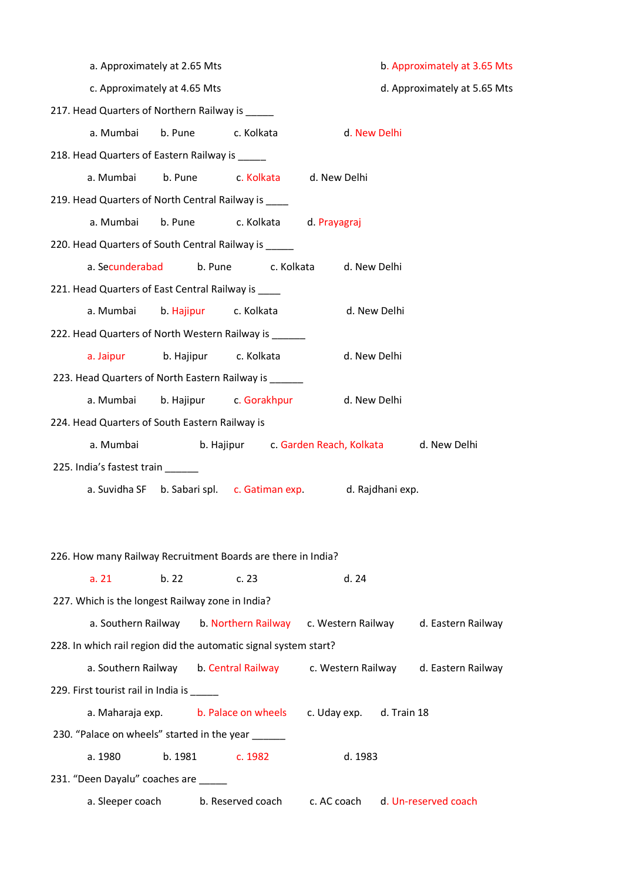| a. Approximately at 2.65 Mts                                     |                                 |                                                               | b. Approximately at 3.65 Mts |              |                              |
|------------------------------------------------------------------|---------------------------------|---------------------------------------------------------------|------------------------------|--------------|------------------------------|
| c. Approximately at 4.65 Mts                                     |                                 |                                                               |                              |              | d. Approximately at 5.65 Mts |
| 217. Head Quarters of Northern Railway is _____                  |                                 |                                                               |                              |              |                              |
| a. Mumbai                                                        | b. Pune                         | c. Kolkata                                                    |                              | d. New Delhi |                              |
| 218. Head Quarters of Eastern Railway is _____                   |                                 |                                                               |                              |              |                              |
|                                                                  |                                 | a. Mumbai b. Pune c. Kolkata d. New Delhi                     |                              |              |                              |
| 219. Head Quarters of North Central Railway is ___               |                                 |                                                               |                              |              |                              |
| a. Mumbai                                                        |                                 | b. Pune c. Kolkata d. Prayagraj                               |                              |              |                              |
| 220. Head Quarters of South Central Railway is _____             |                                 |                                                               |                              |              |                              |
| a. Secunderabad                                                  |                                 | b. Pune c. Kolkata d. New Delhi                               |                              |              |                              |
| 221. Head Quarters of East Central Railway is ____               |                                 |                                                               |                              |              |                              |
| a. Mumbai                                                        | b. Hajipur c. Kolkata           |                                                               |                              | d. New Delhi |                              |
| 222. Head Quarters of North Western Railway is _____             |                                 |                                                               |                              |              |                              |
|                                                                  | a. Jaipur b. Hajipur c. Kolkata |                                                               |                              | d. New Delhi |                              |
| 223. Head Quarters of North Eastern Railway is ______            |                                 |                                                               |                              |              |                              |
| a. Mumbai                                                        |                                 | b. Hajipur c. Gorakhpur                                       | d. New Delhi                 |              |                              |
| 224. Head Quarters of South Eastern Railway is                   |                                 |                                                               |                              |              |                              |
| a. Mumbai                                                        |                                 | b. Hajipur c. Garden Reach, Kolkata d. New Delhi              |                              |              |                              |
| 225. India's fastest train ______                                |                                 |                                                               |                              |              |                              |
|                                                                  |                                 | a. Suvidha SF b. Sabari spl. c. Gatiman exp. d. Rajdhani exp. |                              |              |                              |
|                                                                  |                                 |                                                               |                              |              |                              |
|                                                                  |                                 |                                                               |                              |              |                              |
| 226. How many Railway Recruitment Boards are there in India?     |                                 |                                                               |                              |              |                              |
| a. 21                                                            | b.22                            | c.23                                                          | d.24                         |              |                              |
| 227. Which is the longest Railway zone in India?                 |                                 |                                                               |                              |              |                              |
|                                                                  |                                 | a. Southern Railway b. Northern Railway c. Western Railway    |                              |              | d. Eastern Railway           |
| 228. In which rail region did the automatic signal system start? |                                 |                                                               |                              |              |                              |
|                                                                  |                                 | a. Southern Railway b. Central Railway c. Western Railway     |                              |              | d. Eastern Railway           |
| 229. First tourist rail in India is _____                        |                                 |                                                               |                              |              |                              |
|                                                                  |                                 | a. Maharaja exp. b. Palace on wheels c. Uday exp. d. Train 18 |                              |              |                              |
| 230. "Palace on wheels" started in the year ______               |                                 |                                                               |                              |              |                              |
| a. 1980                                                          | b. 1981                         | c. 1982                                                       | d. 1983                      |              |                              |
| 231. "Deen Dayalu" coaches are                                   |                                 |                                                               |                              |              |                              |
| a. Sleeper coach                                                 |                                 | b. Reserved coach                                             | c. AC coach                  |              | d. Un-reserved coach         |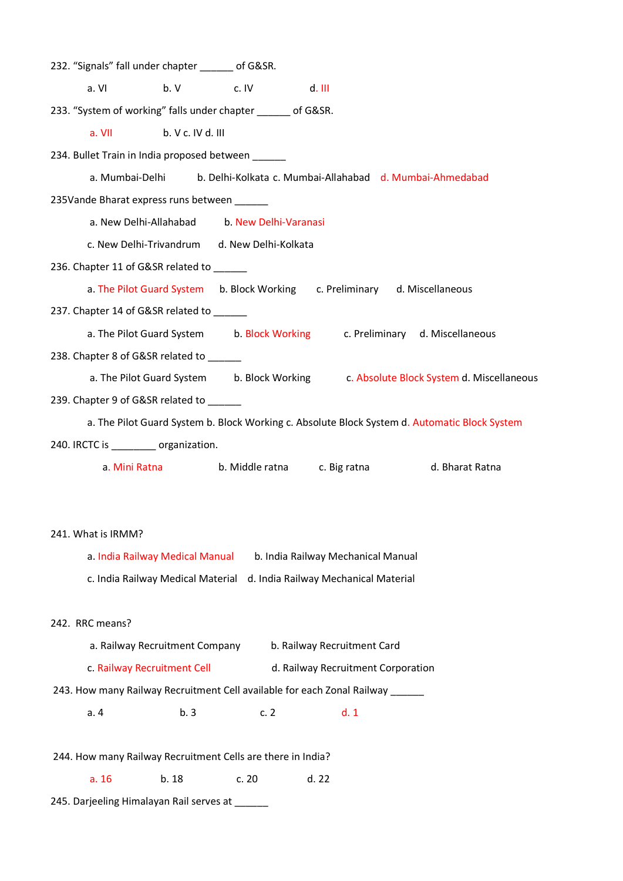232. "Signals" fall under chapter \_\_\_\_\_\_ of G&SR.  $a. V1$  b. V c. IV d. III 233. "System of working" falls under chapter of G&SR. a. VII b. V c. IV d. III 234. Bullet Train in India proposed between a. Mumbai-Delhi b. Delhi-Kolkata c. Mumbai-Allahabad d. Mumbai-Ahmedabad 235Vande Bharat express runs between a. New Delhi-Allahabad b. New Delhi-Varanasi c. New Delhi-Trivandrum d. New Delhi-Kolkata 236. Chapter 11 of G&SR related to a. The Pilot Guard System b. Block Working c. Preliminary d. Miscellaneous 237. Chapter 14 of G&SR related to a. The Pilot Guard System b. Block Working c. Preliminary d. Miscellaneous 238. Chapter 8 of G&SR related to \_\_\_\_\_\_ a. The Pilot Guard System b. Block Working c. Absolute Block System d. Miscellaneous 239. Chapter 9 of G&SR related to a. The Pilot Guard System b. Block Working c. Absolute Block System d. Automatic Block System 240. IRCTC is \_\_\_\_\_\_\_\_ organization. a. Mini Ratna b. Middle ratna c. Big ratna d. Bharat Ratna 241. What is IRMM? a. India Railway Medical Manual b. India Railway Mechanical Manual c. India Railway Medical Material d. India Railway Mechanical Material 242. RRC means? a. Railway Recruitment Company b. Railway Recruitment Card c. Railway Recruitment Cell d. Railway Recruitment Corporation 243. How many Railway Recruitment Cell available for each Zonal Railway \_\_\_\_\_\_ a. 4 b. 3 c. 2 d. 1 244. How many Railway Recruitment Cells are there in India?

a. 16 b. 18 c. 20 d. 22

245. Darjeeling Himalayan Rail serves at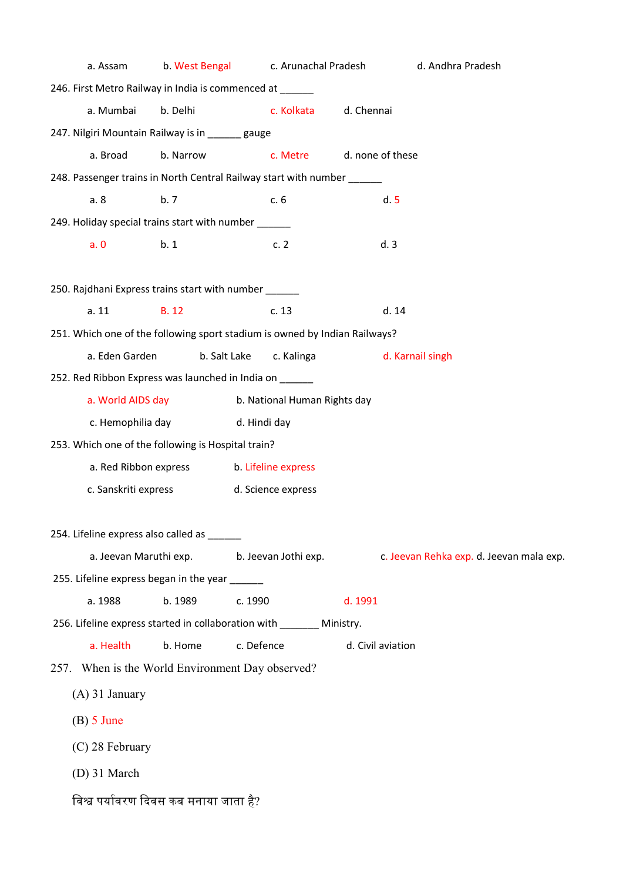| a. Assam                                                                   | b. West Bengal                                   |                     | c. Arunachal Pradesh         |                   | d. Andhra Pradesh                        |  |
|----------------------------------------------------------------------------|--------------------------------------------------|---------------------|------------------------------|-------------------|------------------------------------------|--|
| 246. First Metro Railway in India is commenced at ______                   |                                                  |                     |                              |                   |                                          |  |
| a. Mumbai                                                                  | b. Delhi                                         |                     | c. Kolkata                   | d. Chennai        |                                          |  |
| 247. Nilgiri Mountain Railway is in ______ gauge                           |                                                  |                     |                              |                   |                                          |  |
| a. Broad                                                                   | b. Narrow                                        |                     | c. Metre                     | d. none of these  |                                          |  |
| 248. Passenger trains in North Central Railway start with number           |                                                  |                     |                              |                   |                                          |  |
| a. 8                                                                       | b.7                                              |                     | c. 6                         |                   | d.5                                      |  |
| 249. Holiday special trains start with number ______                       |                                                  |                     |                              |                   |                                          |  |
| a.0                                                                        | b.1                                              |                     | c.2                          |                   | d.3                                      |  |
| 250. Rajdhani Express trains start with number                             |                                                  |                     |                              |                   |                                          |  |
| a. 11                                                                      | <b>B.12</b>                                      |                     | c.13                         |                   | d.14                                     |  |
| 251. Which one of the following sport stadium is owned by Indian Railways? |                                                  |                     |                              |                   |                                          |  |
| a. Eden Garden                                                             | b. Salt Lake                                     |                     | c. Kalinga                   |                   | d. Karnail singh                         |  |
| 252. Red Ribbon Express was launched in India on ______                    |                                                  |                     |                              |                   |                                          |  |
| a. World AIDS day                                                          |                                                  |                     | b. National Human Rights day |                   |                                          |  |
| c. Hemophilia day                                                          |                                                  | d. Hindi day        |                              |                   |                                          |  |
| 253. Which one of the following is Hospital train?                         |                                                  |                     |                              |                   |                                          |  |
| a. Red Ribbon express                                                      |                                                  | b. Lifeline express |                              |                   |                                          |  |
| c. Sanskriti express<br>d. Science express                                 |                                                  |                     |                              |                   |                                          |  |
| 254. Lifeline express also called as ____                                  |                                                  |                     |                              |                   |                                          |  |
| a. Jeevan Maruthi exp.                                                     |                                                  |                     | b. Jeevan Jothi exp.         |                   | c. Jeevan Rehka exp. d. Jeevan mala exp. |  |
| 255. Lifeline express began in the year                                    |                                                  |                     |                              |                   |                                          |  |
| a. 1988                                                                    | b. 1989                                          | c. 1990             |                              | d. 1991           |                                          |  |
| 256. Lifeline express started in collaboration with ________ Ministry.     |                                                  |                     |                              |                   |                                          |  |
| a. Health                                                                  | b. Home                                          | c. Defence          |                              | d. Civil aviation |                                          |  |
|                                                                            | 257. When is the World Environment Day observed? |                     |                              |                   |                                          |  |
| $(A)$ 31 January                                                           |                                                  |                     |                              |                   |                                          |  |
| $(B)$ 5 June                                                               |                                                  |                     |                              |                   |                                          |  |
| (C) 28 February                                                            |                                                  |                     |                              |                   |                                          |  |
| $(D)$ 31 March                                                             |                                                  |                     |                              |                   |                                          |  |
| विश्व पर्यावरण दिवस कब मनाया जाता है?                                      |                                                  |                     |                              |                   |                                          |  |